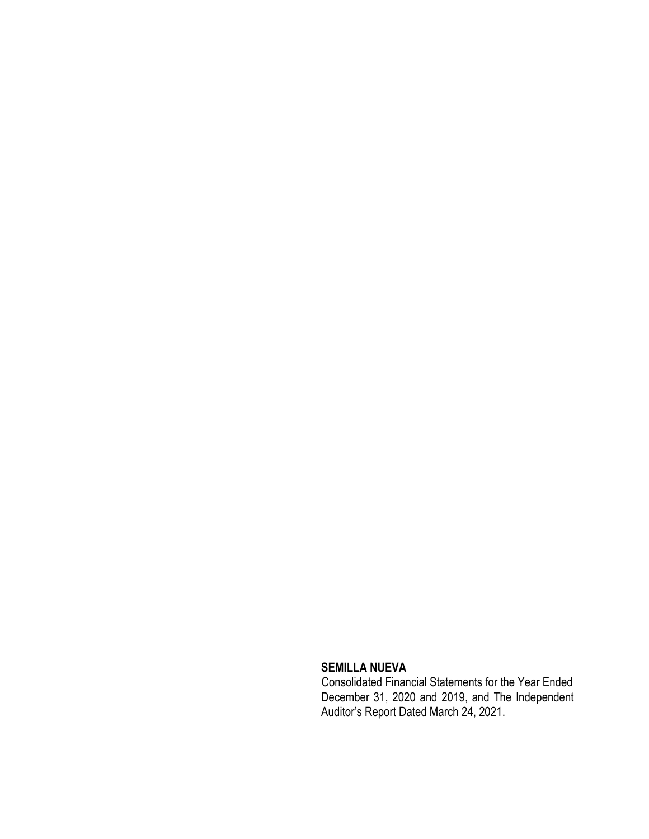## **SEMILLA NUEVA**

 Consolidated Financial Statements for the Year Ended December 31, 2020 and 2019, and The Independent Auditor's Report Dated March 24, 2021.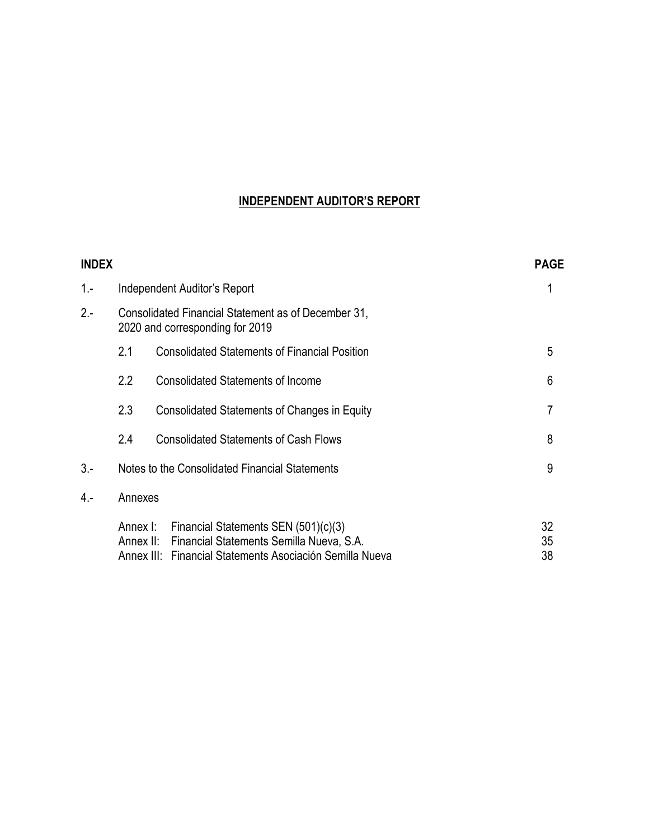# **INDEPENDENT AUDITOR'S REPORT**

| <b>INDEX</b> |          |                                                                                                                                                        | <b>PAGE</b>    |
|--------------|----------|--------------------------------------------------------------------------------------------------------------------------------------------------------|----------------|
| $1 -$        |          | Independent Auditor's Report                                                                                                                           |                |
| $2 -$        |          | Consolidated Financial Statement as of December 31,<br>2020 and corresponding for 2019                                                                 |                |
|              | 2.1      | <b>Consolidated Statements of Financial Position</b>                                                                                                   | 5              |
|              | 2.2      | <b>Consolidated Statements of Income</b>                                                                                                               | 6              |
|              | 2.3      | Consolidated Statements of Changes in Equity                                                                                                           | 7              |
|              | 2.4      | <b>Consolidated Statements of Cash Flows</b>                                                                                                           | 8              |
| $3 -$        |          | Notes to the Consolidated Financial Statements                                                                                                         | 9              |
| 4.-          | Annexes  |                                                                                                                                                        |                |
|              | Annex I: | Financial Statements SEN (501)(c)(3)<br>Annex II: Financial Statements Semilla Nueva, S.A.<br>Annex III: Financial Statements Asociación Semilla Nueva | 32<br>35<br>38 |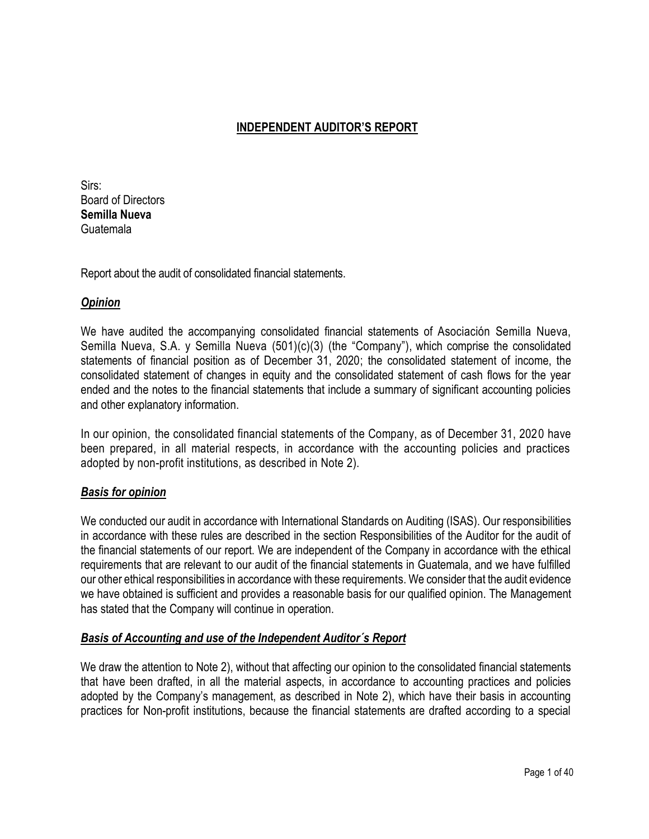# **INDEPENDENT AUDITOR'S REPORT**

Sirs: Board of Directors **Semilla Nueva** Guatemala

Report about the audit of consolidated financial statements.

## *Opinion*

We have audited the accompanying consolidated financial statements of Asociación Semilla Nueva, Semilla Nueva, S.A. y Semilla Nueva (501)(c)(3) (the "Company"), which comprise the consolidated statements of financial position as of December 31, 2020; the consolidated statement of income, the consolidated statement of changes in equity and the consolidated statement of cash flows for the year ended and the notes to the financial statements that include a summary of significant accounting policies and other explanatory information.

In our opinion, the consolidated financial statements of the Company, as of December 31, 2020 have been prepared, in all material respects, in accordance with the accounting policies and practices adopted by non-profit institutions, as described in Note 2).

## *Basis for opinion*

We conducted our audit in accordance with International Standards on Auditing (ISAS). Our responsibilities in accordance with these rules are described in the section Responsibilities of the Auditor for the audit of the financial statements of our report. We are independent of the Company in accordance with the ethical requirements that are relevant to our audit of the financial statements in Guatemala, and we have fulfilled our other ethical responsibilities in accordance with these requirements. We consider that the audit evidence we have obtained is sufficient and provides a reasonable basis for our qualified opinion. The Management has stated that the Company will continue in operation.

## *Basis of Accounting and use of the Independent Auditor´s Report*

We draw the attention to Note 2), without that affecting our opinion to the consolidated financial statements that have been drafted, in all the material aspects, in accordance to accounting practices and policies adopted by the Company's management, as described in Note 2), which have their basis in accounting practices for Non-profit institutions, because the financial statements are drafted according to a special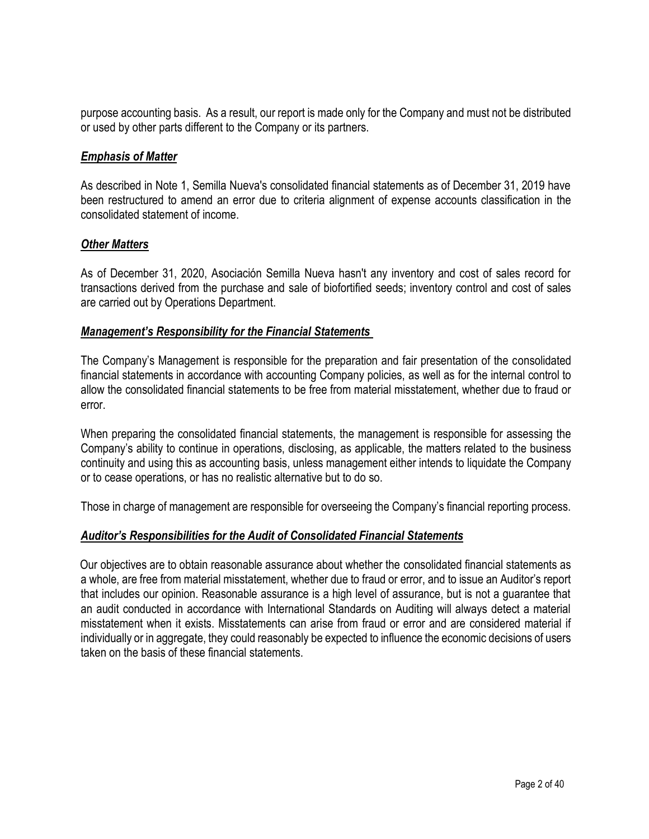purpose accounting basis. As a result, our report is made only for the Company and must not be distributed or used by other parts different to the Company or its partners.

## *Emphasis of Matter*

As described in Note 1, Semilla Nueva's consolidated financial statements as of December 31, 2019 have been restructured to amend an error due to criteria alignment of expense accounts classification in the consolidated statement of income.

## *Other Matters*

As of December 31, 2020, Asociación Semilla Nueva hasn't any inventory and cost of sales record for transactions derived from the purchase and sale of biofortified seeds; inventory control and cost of sales are carried out by Operations Department.

## *Management's Responsibility for the Financial Statements*

The Company's Management is responsible for the preparation and fair presentation of the consolidated financial statements in accordance with accounting Company policies, as well as for the internal control to allow the consolidated financial statements to be free from material misstatement, whether due to fraud or error.

When preparing the consolidated financial statements, the management is responsible for assessing the Company's ability to continue in operations, disclosing, as applicable, the matters related to the business continuity and using this as accounting basis, unless management either intends to liquidate the Company or to cease operations, or has no realistic alternative but to do so.

Those in charge of management are responsible for overseeing the Company's financial reporting process.

## *Auditor's Responsibilities for the Audit of Consolidated Financial Statements*

Our objectives are to obtain reasonable assurance about whether the consolidated financial statements as a whole, are free from material misstatement, whether due to fraud or error, and to issue an Auditor's report that includes our opinion. Reasonable assurance is a high level of assurance, but is not a guarantee that an audit conducted in accordance with International Standards on Auditing will always detect a material misstatement when it exists. Misstatements can arise from fraud or error and are considered material if individually or in aggregate, they could reasonably be expected to influence the economic decisions of users taken on the basis of these financial statements.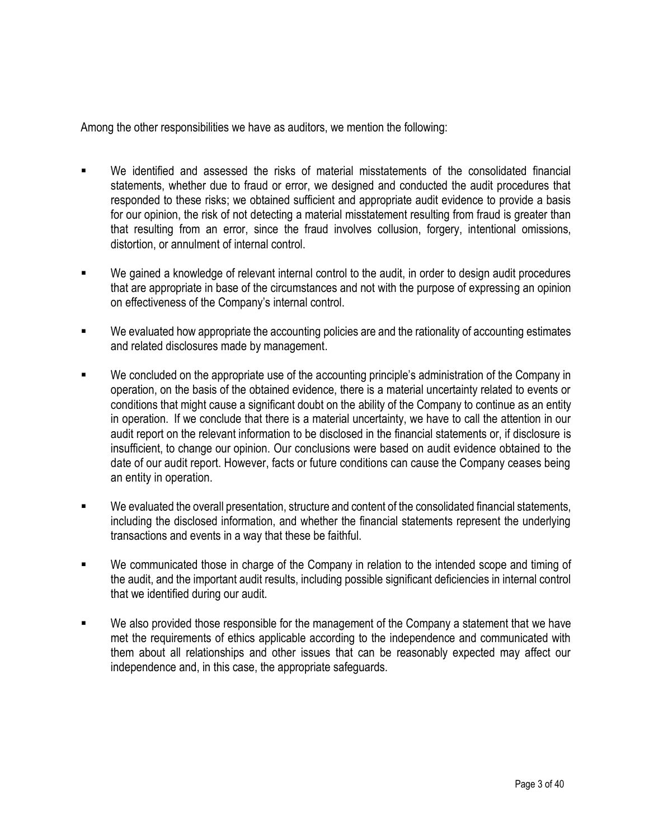Among the other responsibilities we have as auditors, we mention the following:

- We identified and assessed the risks of material misstatements of the consolidated financial statements, whether due to fraud or error, we designed and conducted the audit procedures that responded to these risks; we obtained sufficient and appropriate audit evidence to provide a basis for our opinion, the risk of not detecting a material misstatement resulting from fraud is greater than that resulting from an error, since the fraud involves collusion, forgery, intentional omissions, distortion, or annulment of internal control.
- We gained a knowledge of relevant internal control to the audit, in order to design audit procedures that are appropriate in base of the circumstances and not with the purpose of expressing an opinion on effectiveness of the Company's internal control.
- We evaluated how appropriate the accounting policies are and the rationality of accounting estimates and related disclosures made by management.
- We concluded on the appropriate use of the accounting principle's administration of the Company in operation, on the basis of the obtained evidence, there is a material uncertainty related to events or conditions that might cause a significant doubt on the ability of the Company to continue as an entity in operation. If we conclude that there is a material uncertainty, we have to call the attention in our audit report on the relevant information to be disclosed in the financial statements or, if disclosure is insufficient, to change our opinion. Our conclusions were based on audit evidence obtained to the date of our audit report. However, facts or future conditions can cause the Company ceases being an entity in operation.
- We evaluated the overall presentation, structure and content of the consolidated financial statements, including the disclosed information, and whether the financial statements represent the underlying transactions and events in a way that these be faithful.
- We communicated those in charge of the Company in relation to the intended scope and timing of the audit, and the important audit results, including possible significant deficiencies in internal control that we identified during our audit.
- We also provided those responsible for the management of the Company a statement that we have met the requirements of ethics applicable according to the independence and communicated with them about all relationships and other issues that can be reasonably expected may affect our independence and, in this case, the appropriate safeguards.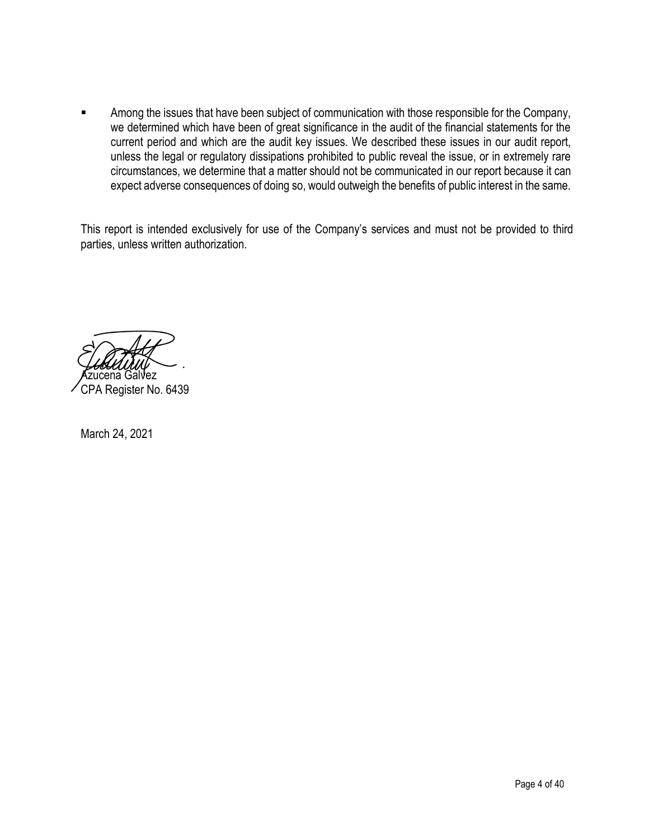■ Among the issues that have been subject of communication with those responsible for the Company, we determined which have been of great significance in the audit of the financial statements for the current period and which are the audit key issues. We described these issues in our audit report, unless the legal or regulatory dissipations prohibited to public reveal the issue, or in extremely rare circumstances, we determine that a matter should not be communicated in our report because it can expect adverse consequences of doing so, would outweigh the benefits of public interest in the same.

This report is intended exclusively for use of the Company's services and must not be provided to third parties, unless written authorization.

Azucena Galvez CPA Register No. 6439

March 24, 2021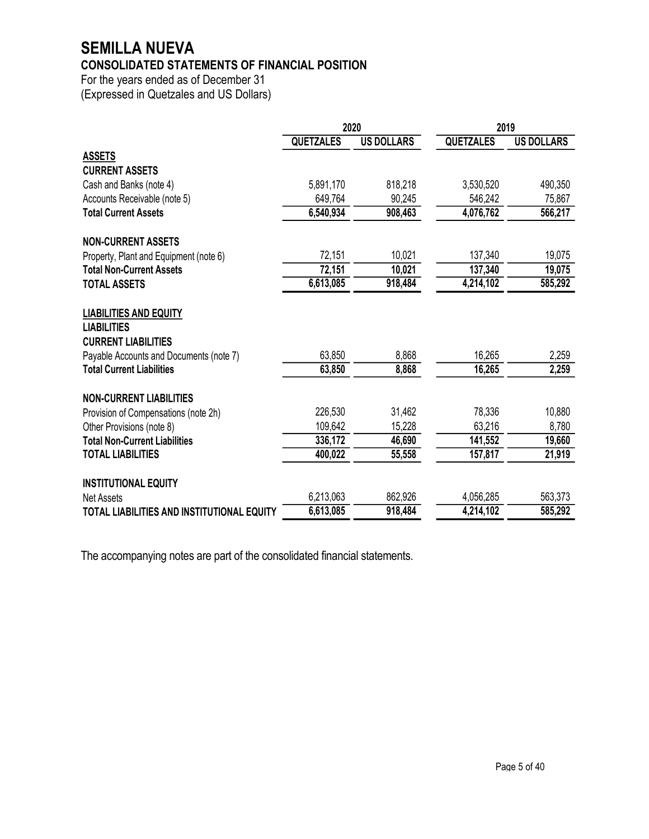# **SEMILLA NUEVA**

# **CONSOLIDATED STATEMENTS OF FINANCIAL POSITION**

For the years ended as of December 31 (Expressed in Quetzales and US Dollars)

|                                                     | 2020             |                   | 2019             |                   |
|-----------------------------------------------------|------------------|-------------------|------------------|-------------------|
|                                                     | <b>QUETZALES</b> | <b>US DOLLARS</b> | <b>QUETZALES</b> | <b>US DOLLARS</b> |
| <b>ASSETS</b>                                       |                  |                   |                  |                   |
| <b>CURRENT ASSETS</b>                               |                  |                   |                  |                   |
| Cash and Banks (note 4)                             | 5,891,170        | 818,218           | 3,530,520        | 490,350           |
| Accounts Receivable (note 5)                        | 649,764          | 90,245            | 546,242          | 75,867            |
| <b>Total Current Assets</b>                         | 6,540,934        | 908,463           | 4,076,762        | 566,217           |
| <b>NON-CURRENT ASSETS</b>                           |                  |                   |                  |                   |
| Property, Plant and Equipment (note 6)              | 72,151           | 10,021            | 137,340          | 19,075            |
| <b>Total Non-Current Assets</b>                     | 72,151           | 10,021            | 137,340          | 19,075            |
| <b>TOTAL ASSETS</b>                                 | 6,613,085        | 918,484           | 4,214,102        | 585,292           |
| <b>LIABILITIES AND EQUITY</b><br><b>LIABILITIES</b> |                  |                   |                  |                   |
| <b>CURRENT LIABILITIES</b>                          |                  |                   |                  |                   |
| Payable Accounts and Documents (note 7)             | 63,850           | 8,868             | 16,265           | 2,259             |
| <b>Total Current Liabilities</b>                    | 63,850           | 8,868             | 16,265           | 2,259             |
| <b>NON-CURRENT LIABILITIES</b>                      |                  |                   |                  |                   |
| Provision of Compensations (note 2h)                | 226,530          | 31,462            | 78,336           | 10,880            |
| Other Provisions (note 8)                           | 109,642          | 15,228            | 63,216           | 8,780             |
| <b>Total Non-Current Liabilities</b>                | 336,172          | 46,690            | 141,552          | 19,660            |
| <b>TOTAL LIABILITIES</b>                            | 400,022          | 55,558            | 157,817          | 21,919            |
| <b>INSTITUTIONAL EQUITY</b>                         |                  |                   |                  |                   |
| <b>Net Assets</b>                                   | 6,213,063        | 862,926           | 4,056,285        | 563,373           |
| TOTAL LIABILITIES AND INSTITUTIONAL EQUITY          | 6,613,085        | 918,484           | 4,214,102        | 585,292           |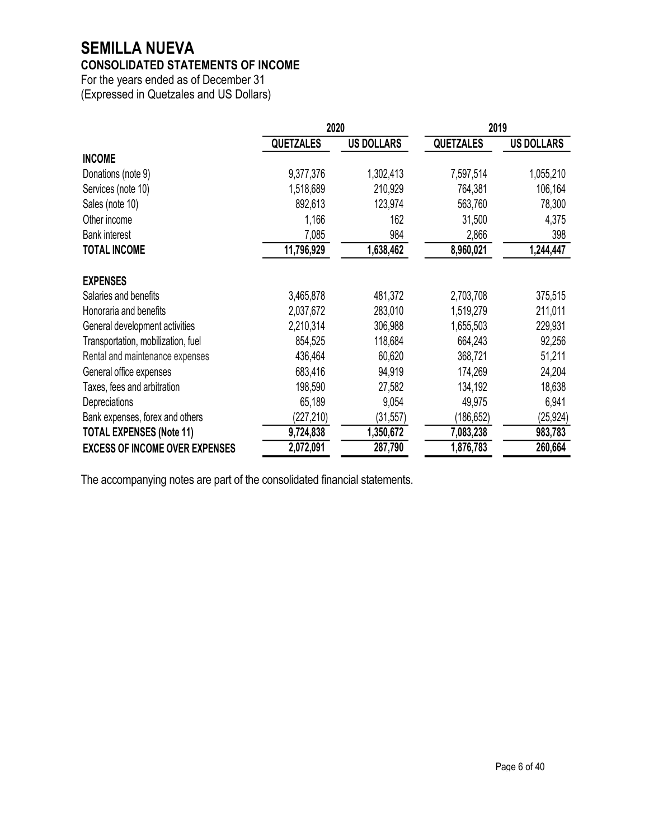# **SEMILLA NUEVA**

# **CONSOLIDATED STATEMENTS OF INCOME**

For the years ended as of December 31 (Expressed in Quetzales and US Dollars)

|                                       | 2020             |                   | 2019             |                   |
|---------------------------------------|------------------|-------------------|------------------|-------------------|
|                                       | <b>QUETZALES</b> | <b>US DOLLARS</b> | <b>QUETZALES</b> | <b>US DOLLARS</b> |
| <b>INCOME</b>                         |                  |                   |                  |                   |
| Donations (note 9)                    | 9,377,376        | 1,302,413         | 7,597,514        | 1,055,210         |
| Services (note 10)                    | 1,518,689        | 210,929           | 764,381          | 106,164           |
| Sales (note 10)                       | 892,613          | 123,974           | 563,760          | 78,300            |
| Other income                          | 1,166            | 162               | 31,500           | 4,375             |
| <b>Bank interest</b>                  | 7,085            | 984               | 2,866            | 398               |
| <b>TOTAL INCOME</b>                   | 11,796,929       | 1,638,462         | 8,960,021        | 1,244,447         |
| <b>EXPENSES</b>                       |                  |                   |                  |                   |
| Salaries and benefits                 | 3,465,878        | 481,372           | 2,703,708        | 375,515           |
| Honoraria and benefits                | 2,037,672        | 283,010           | 1,519,279        | 211,011           |
| General development activities        | 2,210,314        | 306,988           | 1,655,503        | 229,931           |
| Transportation, mobilization, fuel    | 854,525          | 118,684           | 664,243          | 92,256            |
| Rental and maintenance expenses       | 436,464          | 60,620            | 368,721          | 51,211            |
| General office expenses               | 683,416          | 94,919            | 174,269          | 24,204            |
| Taxes, fees and arbitration           | 198,590          | 27,582            | 134,192          | 18,638            |
| Depreciations                         | 65,189           | 9,054             | 49,975           | 6,941             |
| Bank expenses, forex and others       | (227,210)        | (31, 557)         | (186, 652)       | (25, 924)         |
| <b>TOTAL EXPENSES (Note 11)</b>       | 9,724,838        | 1,350,672         | 7,083,238        | 983,783           |
| <b>EXCESS OF INCOME OVER EXPENSES</b> | 2,072,091        | 287,790           | 1,876,783        | 260,664           |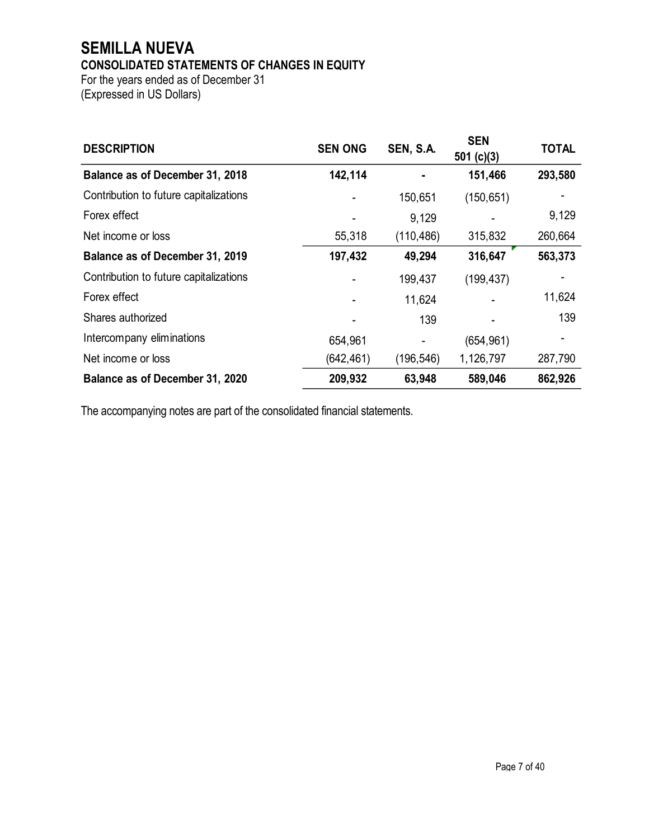# **SEMILLA NUEVA CONSOLIDATED STATEMENTS OF CHANGES IN EQUITY**

For the years ended as of December 31 (Expressed in US Dollars)

| <b>DESCRIPTION</b>                     | <b>SEN ONG</b> | SEN, S.A.  | <b>SEN</b><br>501 $(c)(3)$ | <b>TOTAL</b> |
|----------------------------------------|----------------|------------|----------------------------|--------------|
| Balance as of December 31, 2018        | 142,114        |            | 151,466                    | 293,580      |
| Contribution to future capitalizations |                | 150,651    | (150, 651)                 |              |
| Forex effect                           |                | 9,129      |                            | 9,129        |
| Net income or loss                     | 55,318         | (110, 486) | 315,832                    | 260,664      |
| Balance as of December 31, 2019        | 197,432        | 49,294     | 316,647                    | 563,373      |
| Contribution to future capitalizations |                | 199,437    | (199, 437)                 |              |
| Forex effect                           |                | 11,624     |                            | 11,624       |
| Shares authorized                      |                | 139        |                            | 139          |
| Intercompany eliminations              | 654,961        |            | (654, 961)                 |              |
| Net income or loss                     | (642, 461)     | (196, 546) | 1,126,797                  | 287,790      |
| Balance as of December 31, 2020        | 209,932        | 63,948     | 589,046                    | 862,926      |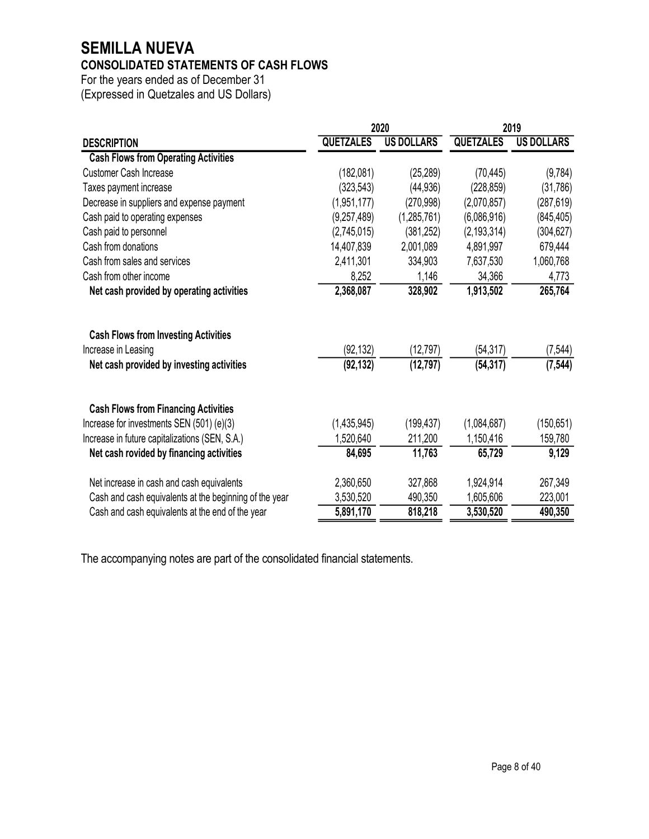# **SEMILLA NUEVA**

# **CONSOLIDATED STATEMENTS OF CASH FLOWS**

For the years ended as of December 31 (Expressed in Quetzales and US Dollars)

|                                                        |                  | 2020              | 2019             |                   |
|--------------------------------------------------------|------------------|-------------------|------------------|-------------------|
| <b>DESCRIPTION</b>                                     | <b>QUETZALES</b> | <b>US DOLLARS</b> | <b>QUETZALES</b> | <b>US DOLLARS</b> |
| <b>Cash Flows from Operating Activities</b>            |                  |                   |                  |                   |
| <b>Customer Cash Increase</b>                          | (182,081)        | (25, 289)         | (70, 445)        | (9,784)           |
| Taxes payment increase                                 | (323, 543)       | (44, 936)         | (228, 859)       | (31,786)          |
| Decrease in suppliers and expense payment              | (1,951,177)      | (270, 998)        | (2,070,857)      | (287, 619)        |
| Cash paid to operating expenses                        | (9, 257, 489)    | (1,285,761)       | (6,086,916)      | (845, 405)        |
| Cash paid to personnel                                 | (2,745,015)      | (381, 252)        | (2, 193, 314)    | (304, 627)        |
| Cash from donations                                    | 14,407,839       | 2,001,089         | 4,891,997        | 679,444           |
| Cash from sales and services                           | 2,411,301        | 334,903           | 7,637,530        | 1,060,768         |
| Cash from other income                                 | 8,252            | 1,146             | 34,366           | 4,773             |
| Net cash provided by operating activities              | 2,368,087        | 328,902           | 1,913,502        | 265,764           |
| <b>Cash Flows from Investing Activities</b>            |                  |                   |                  |                   |
| Increase in Leasing                                    | (92, 132)        | (12, 797)         | (54, 317)        | (7, 544)          |
| Net cash provided by investing activities              | (92, 132)        | (12, 797)         | (54, 317)        | (7, 544)          |
| <b>Cash Flows from Financing Activities</b>            |                  |                   |                  |                   |
| Increase for investments SEN (501) (e)(3)              | (1,435,945)      | (199, 437)        | (1,084,687)      | (150, 651)        |
| Increase in future capitalizations (SEN, S.A.)         | 1,520,640        | 211,200           | 1,150,416        | 159,780           |
| Net cash rovided by financing activities               | 84,695           | 11,763            | 65,729           | 9,129             |
| Net increase in cash and cash equivalents              | 2,360,650        | 327,868           | 1,924,914        | 267,349           |
| Cash and cash equivalents at the beginning of the year | 3,530,520        | 490,350           | 1,605,606        | 223,001           |
| Cash and cash equivalents at the end of the year       | 5,891,170        | 818,218           | 3,530,520        | 490,350           |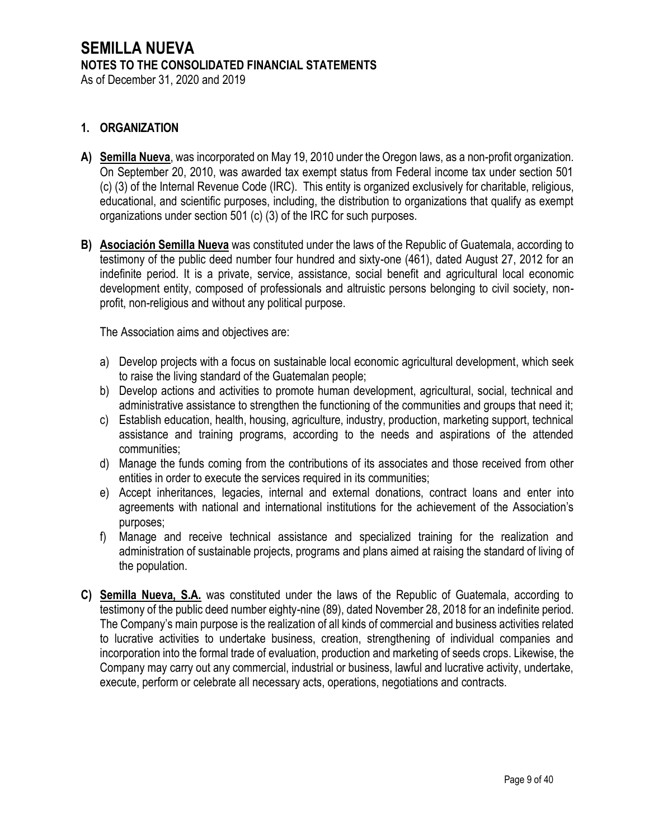As of December 31, 2020 and 2019

## **1. ORGANIZATION**

- **A) Semilla Nueva**, was incorporated on May 19, 2010 under the Oregon laws, as a non-profit organization. On September 20, 2010, was awarded tax exempt status from Federal income tax under section 501 (c) (3) of the Internal Revenue Code (IRC). This entity is organized exclusively for charitable, religious, educational, and scientific purposes, including, the distribution to organizations that qualify as exempt organizations under section 501 (c) (3) of the IRC for such purposes.
- **B) Asociación Semilla Nueva** was constituted under the laws of the Republic of Guatemala, according to testimony of the public deed number four hundred and sixty-one (461), dated August 27, 2012 for an indefinite period. It is a private, service, assistance, social benefit and agricultural local economic development entity, composed of professionals and altruistic persons belonging to civil society, nonprofit, non-religious and without any political purpose.

The Association aims and objectives are:

- a) Develop projects with a focus on sustainable local economic agricultural development, which seek to raise the living standard of the Guatemalan people;
- b) Develop actions and activities to promote human development, agricultural, social, technical and administrative assistance to strengthen the functioning of the communities and groups that need it;
- c) Establish education, health, housing, agriculture, industry, production, marketing support, technical assistance and training programs, according to the needs and aspirations of the attended communities;
- d) Manage the funds coming from the contributions of its associates and those received from other entities in order to execute the services required in its communities;
- e) Accept inheritances, legacies, internal and external donations, contract loans and enter into agreements with national and international institutions for the achievement of the Association's purposes;
- f) Manage and receive technical assistance and specialized training for the realization and administration of sustainable projects, programs and plans aimed at raising the standard of living of the population.
- **C) Semilla Nueva, S.A.** was constituted under the laws of the Republic of Guatemala, according to testimony of the public deed number eighty-nine (89), dated November 28, 2018 for an indefinite period. The Company's main purpose is the realization of all kinds of commercial and business activities related to lucrative activities to undertake business, creation, strengthening of individual companies and incorporation into the formal trade of evaluation, production and marketing of seeds crops. Likewise, the Company may carry out any commercial, industrial or business, lawful and lucrative activity, undertake, execute, perform or celebrate all necessary acts, operations, negotiations and contracts.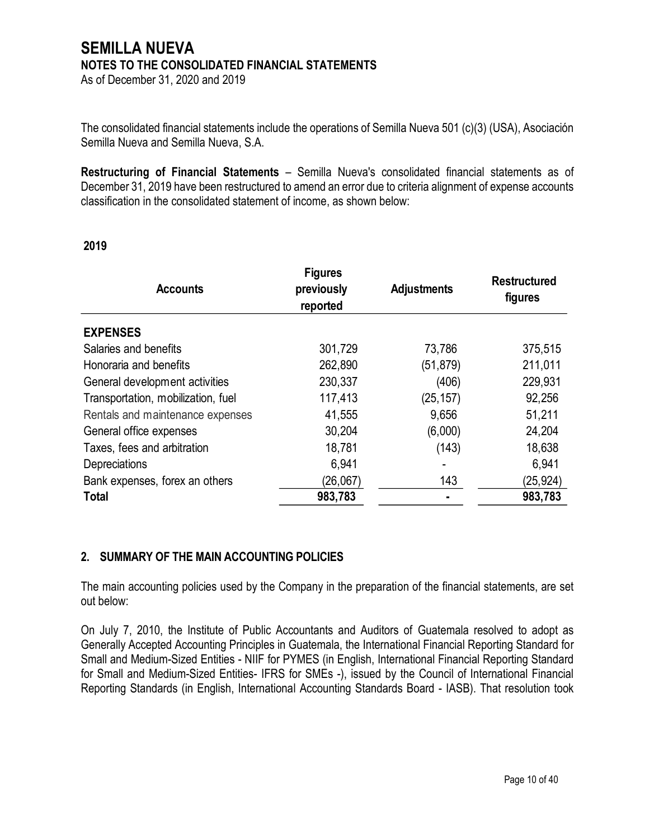As of December 31, 2020 and 2019

The consolidated financial statements include the operations of Semilla Nueva 501 (c)(3) (USA), Asociación Semilla Nueva and Semilla Nueva, S.A.

**Restructuring of Financial Statements** – Semilla Nueva's consolidated financial statements as of December 31, 2019 have been restructured to amend an error due to criteria alignment of expense accounts classification in the consolidated statement of income, as shown below:

## **2019**

| <b>Accounts</b>                    | <b>Figures</b><br>previously<br>reported | <b>Adjustments</b> | <b>Restructured</b><br>figures |
|------------------------------------|------------------------------------------|--------------------|--------------------------------|
| <b>EXPENSES</b>                    |                                          |                    |                                |
| Salaries and benefits              | 301,729                                  | 73,786             | 375,515                        |
| Honoraria and benefits             | 262,890                                  | (51, 879)          | 211,011                        |
| General development activities     | 230,337                                  | (406)              | 229,931                        |
| Transportation, mobilization, fuel | 117,413                                  | (25, 157)          | 92,256                         |
| Rentals and maintenance expenses   | 41,555                                   | 9,656              | 51,211                         |
| General office expenses            | 30,204                                   | (6,000)            | 24,204                         |
| Taxes, fees and arbitration        | 18,781                                   | (143)              | 18,638                         |
| Depreciations                      | 6,941                                    |                    | 6,941                          |
| Bank expenses, forex an others     | (26,067)                                 | 143                | (25, 924)                      |
| <b>Total</b>                       | 983,783                                  | ٠                  | 983,783                        |

## **2. SUMMARY OF THE MAIN ACCOUNTING POLICIES**

The main accounting policies used by the Company in the preparation of the financial statements, are set out below:

On July 7, 2010, the Institute of Public Accountants and Auditors of Guatemala resolved to adopt as Generally Accepted Accounting Principles in Guatemala, the International Financial Reporting Standard for Small and Medium-Sized Entities - NIIF for PYMES (in English, International Financial Reporting Standard for Small and Medium-Sized Entities- IFRS for SMEs -), issued by the Council of International Financial Reporting Standards (in English, International Accounting Standards Board - IASB). That resolution took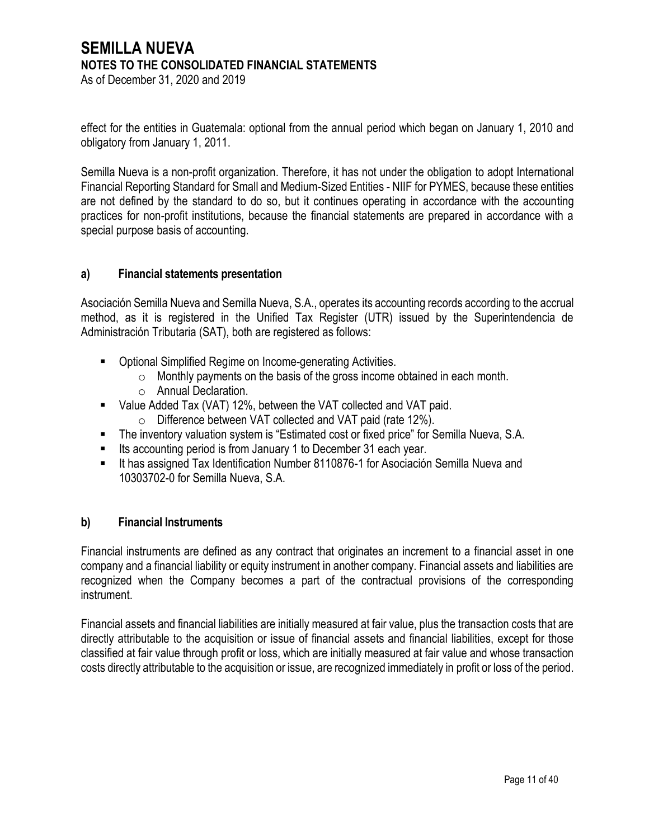As of December 31, 2020 and 2019

effect for the entities in Guatemala: optional from the annual period which began on January 1, 2010 and obligatory from January 1, 2011.

Semilla Nueva is a non-profit organization. Therefore, it has not under the obligation to adopt International Financial Reporting Standard for Small and Medium-Sized Entities - NIIF for PYMES, because these entities are not defined by the standard to do so, but it continues operating in accordance with the accounting practices for non-profit institutions, because the financial statements are prepared in accordance with a special purpose basis of accounting.

## **a) Financial statements presentation**

Asociación Semilla Nueva and Semilla Nueva, S.A., operates its accounting records according to the accrual method, as it is registered in the Unified Tax Register (UTR) issued by the Superintendencia de Administración Tributaria (SAT), both are registered as follows:

- Optional Simplified Regime on Income-generating Activities.
	- $\circ$  Monthly payments on the basis of the gross income obtained in each month.
	- o Annual Declaration.
- Value Added Tax (VAT) 12%, between the VAT collected and VAT paid.
	- o Difference between VAT collected and VAT paid (rate 12%).
- The inventory valuation system is "Estimated cost or fixed price" for Semilla Nueva, S.A.
- Its accounting period is from January 1 to December 31 each year.
- It has assigned Tax Identification Number 8110876-1 for Asociación Semilla Nueva and 10303702-0 for Semilla Nueva, S.A.

## **b) Financial Instruments**

Financial instruments are defined as any contract that originates an increment to a financial asset in one company and a financial liability or equity instrument in another company. Financial assets and liabilities are recognized when the Company becomes a part of the contractual provisions of the corresponding instrument.

Financial assets and financial liabilities are initially measured at fair value, plus the transaction costs that are directly attributable to the acquisition or issue of financial assets and financial liabilities, except for those classified at fair value through profit or loss, which are initially measured at fair value and whose transaction costs directly attributable to the acquisition or issue, are recognized immediately in profit or loss of the period.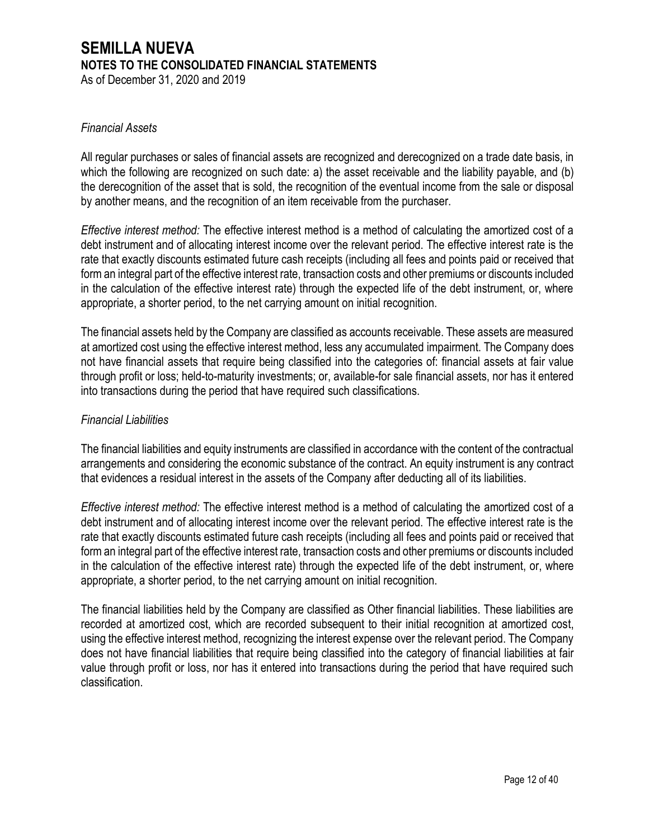As of December 31, 2020 and 2019

#### *Financial Assets*

All regular purchases or sales of financial assets are recognized and derecognized on a trade date basis, in which the following are recognized on such date: a) the asset receivable and the liability payable, and (b) the derecognition of the asset that is sold, the recognition of the eventual income from the sale or disposal by another means, and the recognition of an item receivable from the purchaser.

*Effective interest method:* The effective interest method is a method of calculating the amortized cost of a debt instrument and of allocating interest income over the relevant period. The effective interest rate is the rate that exactly discounts estimated future cash receipts (including all fees and points paid or received that form an integral part of the effective interest rate, transaction costs and other premiums or discounts included in the calculation of the effective interest rate) through the expected life of the debt instrument, or, where appropriate, a shorter period, to the net carrying amount on initial recognition.

The financial assets held by the Company are classified as accounts receivable. These assets are measured at amortized cost using the effective interest method, less any accumulated impairment. The Company does not have financial assets that require being classified into the categories of: financial assets at fair value through profit or loss; held-to-maturity investments; or, available-for sale financial assets, nor has it entered into transactions during the period that have required such classifications.

#### *Financial Liabilities*

The financial liabilities and equity instruments are classified in accordance with the content of the contractual arrangements and considering the economic substance of the contract. An equity instrument is any contract that evidences a residual interest in the assets of the Company after deducting all of its liabilities.

*Effective interest method:* The effective interest method is a method of calculating the amortized cost of a debt instrument and of allocating interest income over the relevant period. The effective interest rate is the rate that exactly discounts estimated future cash receipts (including all fees and points paid or received that form an integral part of the effective interest rate, transaction costs and other premiums or discounts included in the calculation of the effective interest rate) through the expected life of the debt instrument, or, where appropriate, a shorter period, to the net carrying amount on initial recognition.

The financial liabilities held by the Company are classified as Other financial liabilities. These liabilities are recorded at amortized cost, which are recorded subsequent to their initial recognition at amortized cost, using the effective interest method, recognizing the interest expense over the relevant period. The Company does not have financial liabilities that require being classified into the category of financial liabilities at fair value through profit or loss, nor has it entered into transactions during the period that have required such classification.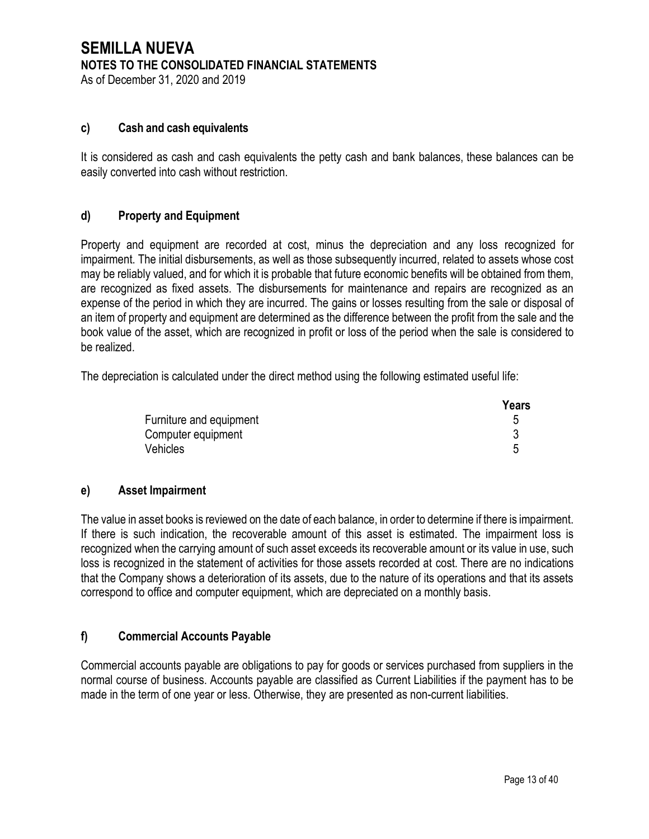As of December 31, 2020 and 2019

## **c) Cash and cash equivalents**

It is considered as cash and cash equivalents the petty cash and bank balances, these balances can be easily converted into cash without restriction.

## **d) Property and Equipment**

Property and equipment are recorded at cost, minus the depreciation and any loss recognized for impairment. The initial disbursements, as well as those subsequently incurred, related to assets whose cost may be reliably valued, and for which it is probable that future economic benefits will be obtained from them, are recognized as fixed assets. The disbursements for maintenance and repairs are recognized as an expense of the period in which they are incurred. The gains or losses resulting from the sale or disposal of an item of property and equipment are determined as the difference between the profit from the sale and the book value of the asset, which are recognized in profit or loss of the period when the sale is considered to be realized.

The depreciation is calculated under the direct method using the following estimated useful life:

|                         | Years |
|-------------------------|-------|
| Furniture and equipment |       |
| Computer equipment      |       |
| Vehicles                |       |

#### **e) Asset Impairment**

The value in asset books is reviewed on the date of each balance, in order to determine if there is impairment. If there is such indication, the recoverable amount of this asset is estimated. The impairment loss is recognized when the carrying amount of such asset exceeds its recoverable amount or its value in use, such loss is recognized in the statement of activities for those assets recorded at cost. There are no indications that the Company shows a deterioration of its assets, due to the nature of its operations and that its assets correspond to office and computer equipment, which are depreciated on a monthly basis.

## **f) Commercial Accounts Payable**

Commercial accounts payable are obligations to pay for goods or services purchased from suppliers in the normal course of business. Accounts payable are classified as Current Liabilities if the payment has to be made in the term of one year or less. Otherwise, they are presented as non-current liabilities.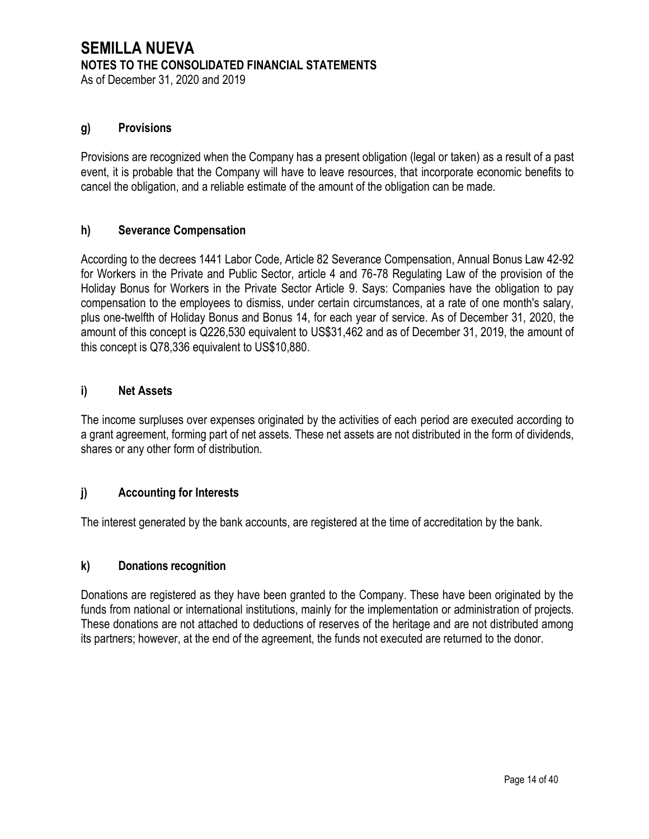As of December 31, 2020 and 2019

# **g) Provisions**

Provisions are recognized when the Company has a present obligation (legal or taken) as a result of a past event, it is probable that the Company will have to leave resources, that incorporate economic benefits to cancel the obligation, and a reliable estimate of the amount of the obligation can be made.

## **h) Severance Compensation**

According to the decrees 1441 Labor Code, Article 82 Severance Compensation, Annual Bonus Law 42-92 for Workers in the Private and Public Sector, article 4 and 76-78 Regulating Law of the provision of the Holiday Bonus for Workers in the Private Sector Article 9. Says: Companies have the obligation to pay compensation to the employees to dismiss, under certain circumstances, at a rate of one month's salary, plus one-twelfth of Holiday Bonus and Bonus 14, for each year of service. As of December 31, 2020, the amount of this concept is Q226,530 equivalent to US\$31,462 and as of December 31, 2019, the amount of this concept is Q78,336 equivalent to US\$10,880.

## **i) Net Assets**

The income surpluses over expenses originated by the activities of each period are executed according to a grant agreement, forming part of net assets. These net assets are not distributed in the form of dividends, shares or any other form of distribution.

## **j) Accounting for Interests**

The interest generated by the bank accounts, are registered at the time of accreditation by the bank.

## **k) Donations recognition**

Donations are registered as they have been granted to the Company. These have been originated by the funds from national or international institutions, mainly for the implementation or administration of projects. These donations are not attached to deductions of reserves of the heritage and are not distributed among its partners; however, at the end of the agreement, the funds not executed are returned to the donor.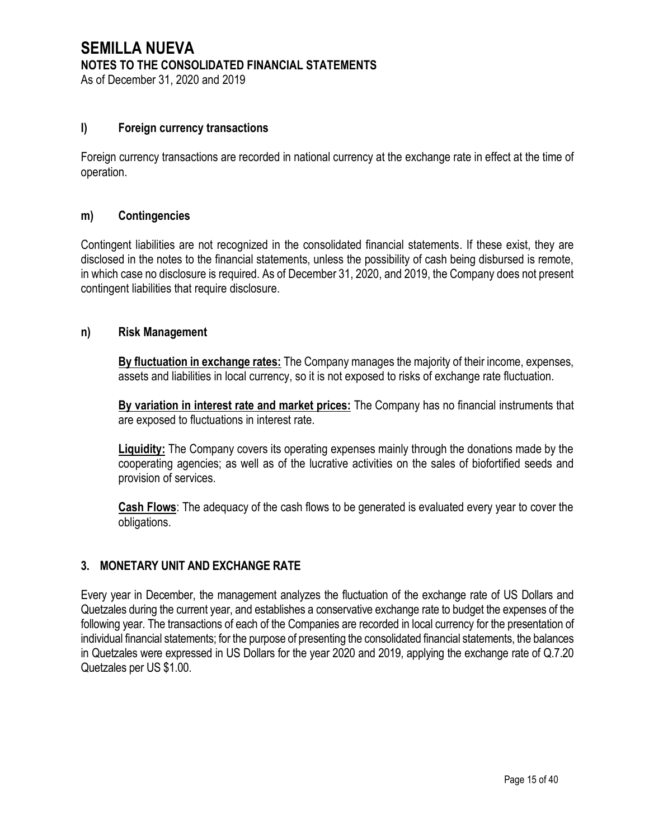As of December 31, 2020 and 2019

## **l) Foreign currency transactions**

Foreign currency transactions are recorded in national currency at the exchange rate in effect at the time of operation.

## **m) Contingencies**

Contingent liabilities are not recognized in the consolidated financial statements. If these exist, they are disclosed in the notes to the financial statements, unless the possibility of cash being disbursed is remote, in which case no disclosure is required. As of December 31, 2020, and 2019, the Company does not present contingent liabilities that require disclosure.

#### **n) Risk Management**

**By fluctuation in exchange rates:** The Company manages the majority of their income, expenses, assets and liabilities in local currency, so it is not exposed to risks of exchange rate fluctuation.

**By variation in interest rate and market prices:** The Company has no financial instruments that are exposed to fluctuations in interest rate.

**Liquidity:** The Company covers its operating expenses mainly through the donations made by the cooperating agencies; as well as of the lucrative activities on the sales of biofortified seeds and provision of services.

**Cash Flows**: The adequacy of the cash flows to be generated is evaluated every year to cover the obligations.

## **3. MONETARY UNIT AND EXCHANGE RATE**

Every year in December, the management analyzes the fluctuation of the exchange rate of US Dollars and Quetzales during the current year, and establishes a conservative exchange rate to budget the expenses of the following year. The transactions of each of the Companies are recorded in local currency for the presentation of individual financial statements; for the purpose of presenting the consolidated financial statements, the balances in Quetzales were expressed in US Dollars for the year 2020 and 2019, applying the exchange rate of Q.7.20 Quetzales per US \$1.00.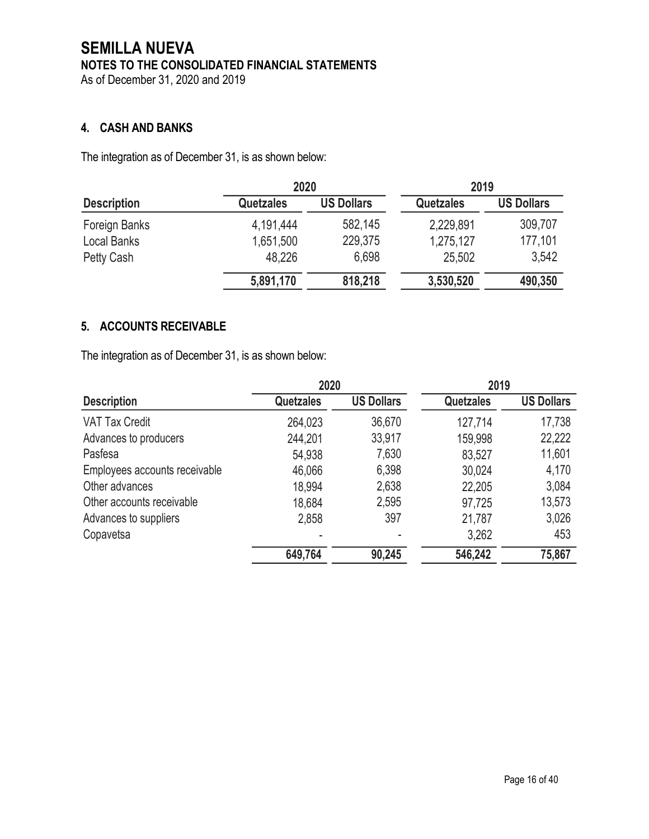As of December 31, 2020 and 2019

# **4. CASH AND BANKS**

The integration as of December 31, is as shown below:

|                    | 2020             |                   | 2019             |                   |
|--------------------|------------------|-------------------|------------------|-------------------|
| <b>Description</b> | <b>Quetzales</b> | <b>US Dollars</b> | <b>Quetzales</b> | <b>US Dollars</b> |
| Foreign Banks      | 4,191,444        | 582,145           | 2,229,891        | 309,707           |
| Local Banks        | 1,651,500        | 229,375           | 1,275,127        | 177,101           |
| Petty Cash         | 48,226           | 6,698             | 25,502           | 3,542             |
|                    | 5,891,170        | 818,218           | 3,530,520        | 490,350           |

# **5. ACCOUNTS RECEIVABLE**

The integration as of December 31, is as shown below:

|                               | 2020             |                   | 2019             |                   |
|-------------------------------|------------------|-------------------|------------------|-------------------|
| <b>Description</b>            | <b>Quetzales</b> | <b>US Dollars</b> | <b>Quetzales</b> | <b>US Dollars</b> |
| <b>VAT Tax Credit</b>         | 264,023          | 36,670            | 127,714          | 17,738            |
| Advances to producers         | 244,201          | 33,917            | 159,998          | 22,222            |
| Pasfesa                       | 54,938           | 7,630             | 83,527           | 11,601            |
| Employees accounts receivable | 46,066           | 6,398             | 30,024           | 4,170             |
| Other advances                | 18,994           | 2,638             | 22,205           | 3,084             |
| Other accounts receivable     | 18,684           | 2,595             | 97,725           | 13,573            |
| Advances to suppliers         | 2,858            | 397               | 21,787           | 3,026             |
| Copavetsa                     |                  |                   | 3,262            | 453               |
|                               | 649,764          | 90,245            | 546,242          | 75,867            |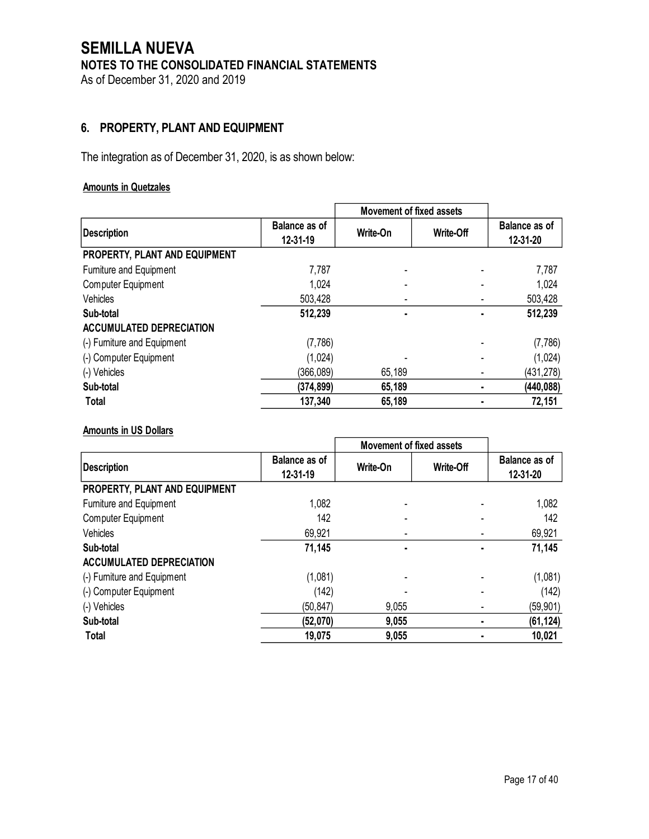# **SEMILLA NUEVA NOTES TO THE CONSOLIDATED FINANCIAL STATEMENTS** As of December 31, 2020 and 2019

# **6. PROPERTY, PLANT AND EQUIPMENT**

The integration as of December 31, 2020, is as shown below:

## **Amounts in Quetzales**

|                                 |                           | <b>Movement of fixed assets</b> |                  |                                  |
|---------------------------------|---------------------------|---------------------------------|------------------|----------------------------------|
| <b>Description</b>              | Balance as of<br>12-31-19 | Write-On                        | <b>Write-Off</b> | <b>Balance as of</b><br>12-31-20 |
| PROPERTY, PLANT AND EQUIPMENT   |                           |                                 |                  |                                  |
| Furniture and Equipment         | 7,787                     |                                 |                  | 7,787                            |
| <b>Computer Equipment</b>       | 1,024                     |                                 |                  | 1,024                            |
| Vehicles                        | 503,428                   |                                 |                  | 503,428                          |
| Sub-total                       | 512,239                   |                                 |                  | 512,239                          |
| <b>ACCUMULATED DEPRECIATION</b> |                           |                                 |                  |                                  |
| (-) Furniture and Equipment     | (7,786)                   |                                 |                  | (7,786)                          |
| (-) Computer Equipment          | (1,024)                   |                                 |                  | (1,024)                          |
| (-) Vehicles                    | (366.089)                 | 65,189                          |                  | (431, 278)                       |
| Sub-total                       | (374, 899)                | 65,189                          |                  | (440, 088)                       |
| <b>Total</b>                    | 137,340                   | 65,189                          |                  | 72,151                           |

#### **Amounts in US Dollars**

|                                 |                                        | <b>Movement of fixed assets</b> |                  |                           |
|---------------------------------|----------------------------------------|---------------------------------|------------------|---------------------------|
| <b>Description</b>              | <b>Balance as of</b><br>$12 - 31 - 19$ | Write-On                        | <b>Write-Off</b> | Balance as of<br>12-31-20 |
| PROPERTY, PLANT AND EQUIPMENT   |                                        |                                 |                  |                           |
| Furniture and Equipment         | 1,082                                  |                                 |                  | 1,082                     |
| <b>Computer Equipment</b>       | 142                                    |                                 |                  | 142                       |
| Vehicles                        | 69,921                                 |                                 |                  | 69,921                    |
| Sub-total                       | 71,145                                 |                                 |                  | 71,145                    |
| <b>ACCUMULATED DEPRECIATION</b> |                                        |                                 |                  |                           |
| (-) Furniture and Equipment     | (1,081)                                |                                 |                  | (1,081)                   |
| (-) Computer Equipment          | (142)                                  |                                 |                  | (142)                     |
| (-) Vehicles                    | (50, 847)                              | 9,055                           |                  | (59, 901)                 |
| Sub-total                       | (52,070)                               | 9,055                           |                  | (61, 124)                 |
| <b>Total</b>                    | 19,075                                 | 9,055                           |                  | 10,021                    |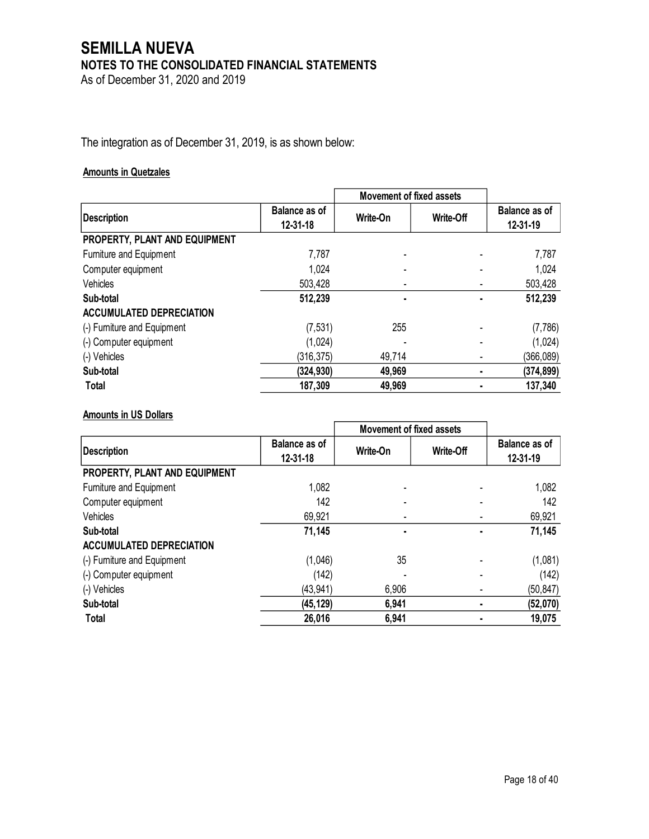As of December 31, 2020 and 2019

The integration as of December 31, 2019, is as shown below:

#### **Amounts in Quetzales**

|                                 |                           | <b>Movement of fixed assets</b> |                  |                           |
|---------------------------------|---------------------------|---------------------------------|------------------|---------------------------|
| <b>Description</b>              | Balance as of<br>12-31-18 | Write-On                        | <b>Write-Off</b> | Balance as of<br>12-31-19 |
| PROPERTY, PLANT AND EQUIPMENT   |                           |                                 |                  |                           |
| Furniture and Equipment         | 7,787                     |                                 |                  | 7,787                     |
| Computer equipment              | 1,024                     |                                 |                  | 1,024                     |
| Vehicles                        | 503,428                   |                                 |                  | 503,428                   |
| Sub-total                       | 512,239                   |                                 |                  | 512,239                   |
| <b>ACCUMULATED DEPRECIATION</b> |                           |                                 |                  |                           |
| (-) Furniture and Equipment     | (7, 531)                  | 255                             |                  | (7,786)                   |
| (-) Computer equipment          | (1,024)                   |                                 |                  | (1,024)                   |
| (-) Vehicles                    | (316, 375)                | 49,714                          |                  | (366, 089)                |
| Sub-total                       | (324, 930)                | 49,969                          |                  | (374, 899)                |
| <b>Total</b>                    | 187,309                   | 49,969                          |                  | 137,340                   |

## **Amounts in US Dollars**

|                                 |                                        | <b>Movement of fixed assets</b> |           |                           |
|---------------------------------|----------------------------------------|---------------------------------|-----------|---------------------------|
| <b>Description</b>              | <b>Balance as of</b><br>$12 - 31 - 18$ | Write-On                        | Write-Off | Balance as of<br>12-31-19 |
| PROPERTY, PLANT AND EQUIPMENT   |                                        |                                 |           |                           |
| Furniture and Equipment         | 1,082                                  |                                 |           | 1,082                     |
| Computer equipment              | 142                                    |                                 |           | 142                       |
| Vehicles                        | 69,921                                 |                                 |           | 69,921                    |
| Sub-total                       | 71,145                                 |                                 |           | 71,145                    |
| <b>ACCUMULATED DEPRECIATION</b> |                                        |                                 |           |                           |
| (-) Furniture and Equipment     | (1,046)                                | 35                              |           | (1,081)                   |
| (-) Computer equipment          | (142)                                  |                                 |           | (142)                     |
| (-) Vehicles                    | (43, 941)                              | 6,906                           |           | (50, 847)                 |
| Sub-total                       | (45, 129)                              | 6,941                           |           | (52,070)                  |
| <b>Total</b>                    | 26,016                                 | 6,941                           |           | 19,075                    |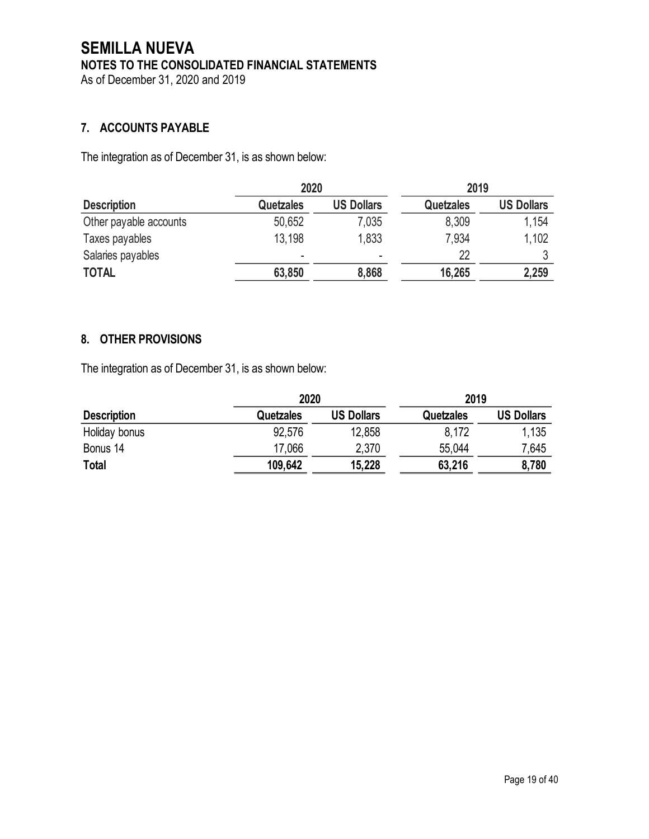As of December 31, 2020 and 2019

# **7. ACCOUNTS PAYABLE**

The integration as of December 31, is as shown below:

|                        | 2020      |                   | 2019             |                   |
|------------------------|-----------|-------------------|------------------|-------------------|
| <b>Description</b>     | Quetzales | <b>US Dollars</b> | <b>Quetzales</b> | <b>US Dollars</b> |
| Other payable accounts | 50,652    | 7,035             | 8,309            | 1,154             |
| Taxes payables         | 13,198    | 1,833             | 7,934            | 1,102             |
| Salaries payables      |           | ۰                 | 22               |                   |
| <b>TOTAL</b>           | 63,850    | 8,868             | 16,265           | 2,259             |

## **8. OTHER PROVISIONS**

The integration as of December 31, is as shown below:

|                    |                  | 2020              |           | 2019              |  |
|--------------------|------------------|-------------------|-----------|-------------------|--|
| <b>Description</b> | <b>Quetzales</b> | <b>US Dollars</b> | Quetzales | <b>US Dollars</b> |  |
| Holiday bonus      | 92,576           | 12,858            | 8,172     | 1,135             |  |
| Bonus 14           | 17,066           | 2,370             | 55.044    | 7,645             |  |
| <b>Total</b>       | 109,642          | 15,228            | 63,216    | 8,780             |  |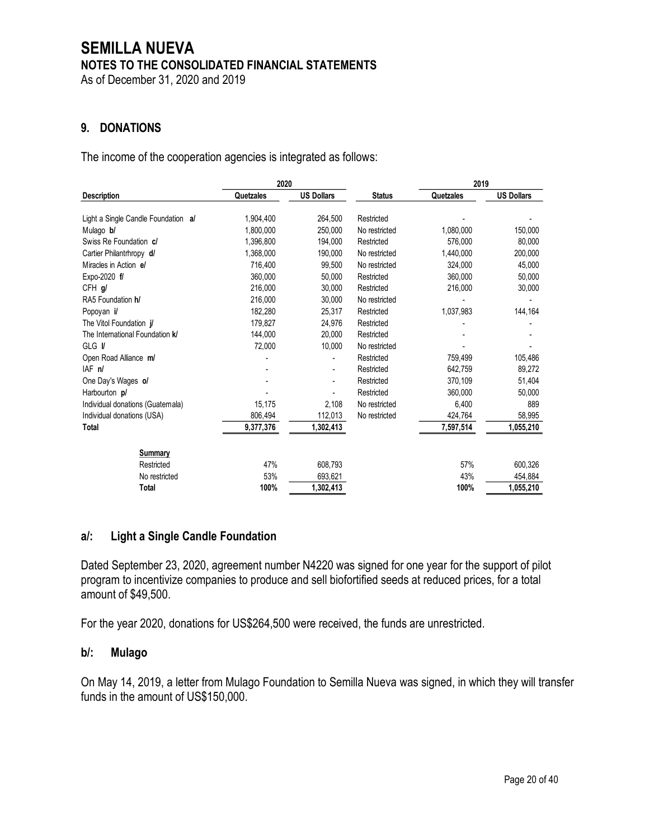As of December 31, 2020 and 2019

# **9. DONATIONS**

The income of the cooperation agencies is integrated as follows:

|                                         | 2020      |                          |               | 2019      |                   |
|-----------------------------------------|-----------|--------------------------|---------------|-----------|-------------------|
| <b>Description</b>                      | Quetzales | <b>US Dollars</b>        | <b>Status</b> | Quetzales | <b>US Dollars</b> |
|                                         | 1,904,400 | 264,500                  | Restricted    |           |                   |
| Light a Single Candle Foundation al     |           |                          |               |           |                   |
| Mulago b/                               | 1,800,000 | 250,000                  | No restricted | 1,080,000 | 150,000           |
| Swiss Re Foundation c/                  | 1,396,800 | 194,000                  | Restricted    | 576,000   | 80,000            |
| Cartier Philantrhropy d/                | 1,368,000 | 190.000                  | No restricted | 1,440,000 | 200,000           |
| Miracles in Action el                   | 716,400   | 99,500                   | No restricted | 324,000   | 45,000            |
| Expo-2020 f/                            | 360,000   | 50,000                   | Restricted    | 360,000   | 50,000            |
| CFH g/                                  | 216,000   | 30,000                   | Restricted    | 216,000   | 30,000            |
| RA5 Foundation h/                       | 216,000   | 30,000                   | No restricted |           |                   |
| Popoyan il                              | 182,280   | 25,317                   | Restricted    | 1,037,983 | 144,164           |
| The Vitol Foundation <i>il</i>          | 179,827   | 24,976                   | Restricted    |           |                   |
| The International Foundation <b>k</b> / | 144,000   | 20,000                   | Restricted    |           |                   |
| GLG <i>V</i>                            | 72,000    | 10,000                   | No restricted |           |                   |
| Open Road Alliance m/                   |           |                          | Restricted    | 759,499   | 105,486           |
| IAF <sub>n</sub> /                      |           | $\overline{\phantom{a}}$ | Restricted    | 642,759   | 89,272            |
| One Day's Wages of                      |           |                          | Restricted    | 370.109   | 51,404            |
| Harbourton p/                           |           |                          | Restricted    | 360,000   | 50,000            |
| Individual donations (Guatemala)        | 15,175    | 2,108                    | No restricted | 6,400     | 889               |
| Individual donations (USA)              | 806,494   | 112,013                  | No restricted | 424,764   | 58,995            |
| Total                                   | 9,377,376 | 1,302,413                |               | 7,597,514 | 1,055,210         |
| Summary                                 |           |                          |               |           |                   |
| Restricted                              | 47%       | 608,793                  |               | 57%       | 600,326           |
| No restricted                           | 53%       | 693,621                  |               | 43%       | 454,884           |
| Total                                   | 100%      | 1,302,413                |               | 100%      | 1,055,210         |

## **a/: Light a Single Candle Foundation**

Dated September 23, 2020, agreement number N4220 was signed for one year for the support of pilot program to incentivize companies to produce and sell biofortified seeds at reduced prices, for a total amount of \$49,500.

For the year 2020, donations for US\$264,500 were received, the funds are unrestricted.

## **b/: Mulago**

On May 14, 2019, a letter from Mulago Foundation to Semilla Nueva was signed, in which they will transfer funds in the amount of US\$150,000.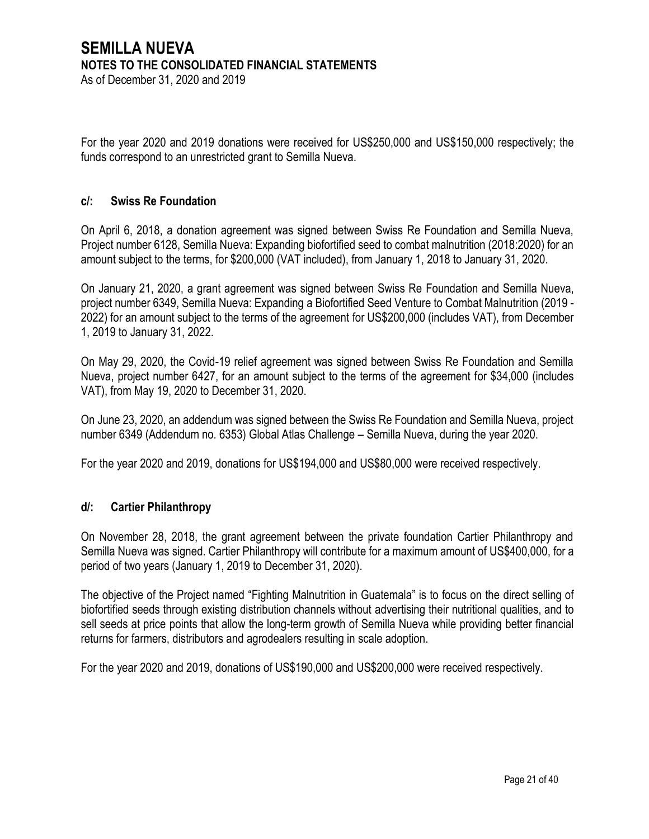As of December 31, 2020 and 2019

For the year 2020 and 2019 donations were received for US\$250,000 and US\$150,000 respectively; the funds correspond to an unrestricted grant to Semilla Nueva.

## **c/: Swiss Re Foundation**

On April 6, 2018, a donation agreement was signed between Swiss Re Foundation and Semilla Nueva, Project number 6128, Semilla Nueva: Expanding biofortified seed to combat malnutrition (2018:2020) for an amount subject to the terms, for \$200,000 (VAT included), from January 1, 2018 to January 31, 2020.

On January 21, 2020, a grant agreement was signed between Swiss Re Foundation and Semilla Nueva, project number 6349, Semilla Nueva: Expanding a Biofortified Seed Venture to Combat Malnutrition (2019 - 2022) for an amount subject to the terms of the agreement for US\$200,000 (includes VAT), from December 1, 2019 to January 31, 2022.

On May 29, 2020, the Covid-19 relief agreement was signed between Swiss Re Foundation and Semilla Nueva, project number 6427, for an amount subject to the terms of the agreement for \$34,000 (includes VAT), from May 19, 2020 to December 31, 2020.

On June 23, 2020, an addendum was signed between the Swiss Re Foundation and Semilla Nueva, project number 6349 (Addendum no. 6353) Global Atlas Challenge – Semilla Nueva, during the year 2020.

For the year 2020 and 2019, donations for US\$194,000 and US\$80,000 were received respectively.

## **d/: Cartier Philanthropy**

On November 28, 2018, the grant agreement between the private foundation Cartier Philanthropy and Semilla Nueva was signed. Cartier Philanthropy will contribute for a maximum amount of US\$400,000, for a period of two years (January 1, 2019 to December 31, 2020).

The objective of the Project named "Fighting Malnutrition in Guatemala" is to focus on the direct selling of biofortified seeds through existing distribution channels without advertising their nutritional qualities, and to sell seeds at price points that allow the long-term growth of Semilla Nueva while providing better financial returns for farmers, distributors and agrodealers resulting in scale adoption.

For the year 2020 and 2019, donations of US\$190,000 and US\$200,000 were received respectively.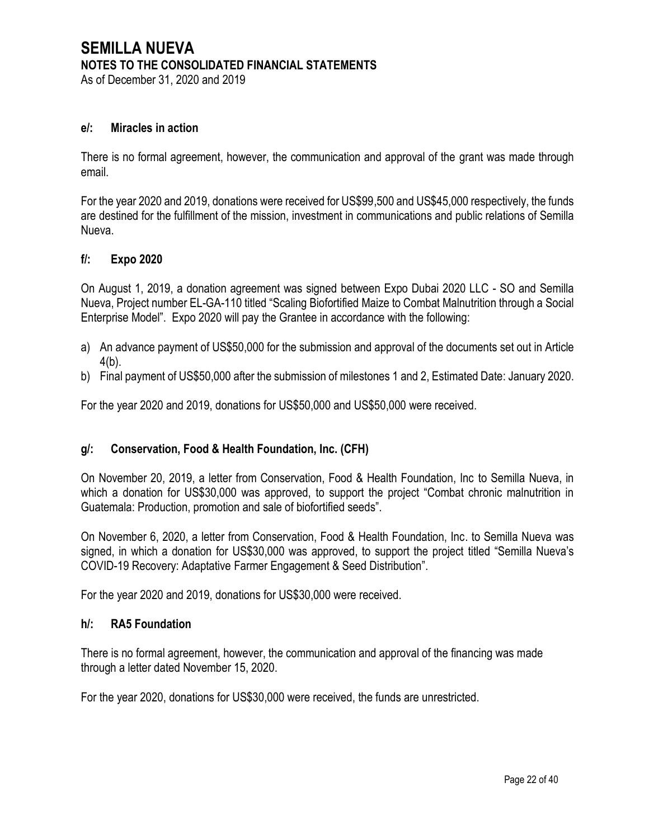As of December 31, 2020 and 2019

#### **e/: Miracles in action**

There is no formal agreement, however, the communication and approval of the grant was made through email.

For the year 2020 and 2019, donations were received for US\$99,500 and US\$45,000 respectively, the funds are destined for the fulfillment of the mission, investment in communications and public relations of Semilla Nueva.

#### **f/: Expo 2020**

On August 1, 2019, a donation agreement was signed between Expo Dubai 2020 LLC - SO and Semilla Nueva, Project number EL-GA-110 titled "Scaling Biofortified Maize to Combat Malnutrition through a Social Enterprise Model". Expo 2020 will pay the Grantee in accordance with the following:

- a) An advance payment of US\$50,000 for the submission and approval of the documents set out in Article 4(b).
- b) Final payment of US\$50,000 after the submission of milestones 1 and 2, Estimated Date: January 2020.

For the year 2020 and 2019, donations for US\$50,000 and US\$50,000 were received.

## **g/: Conservation, Food & Health Foundation, Inc. (CFH)**

On November 20, 2019, a letter from Conservation, Food & Health Foundation, Inc to Semilla Nueva, in which a donation for US\$30,000 was approved, to support the project "Combat chronic malnutrition in Guatemala: Production, promotion and sale of biofortified seeds".

On November 6, 2020, a letter from Conservation, Food & Health Foundation, Inc. to Semilla Nueva was signed, in which a donation for US\$30,000 was approved, to support the project titled "Semilla Nueva's COVID-19 Recovery: Adaptative Farmer Engagement & Seed Distribution".

For the year 2020 and 2019, donations for US\$30,000 were received.

#### **h/: RA5 Foundation**

There is no formal agreement, however, the communication and approval of the financing was made through a letter dated November 15, 2020.

For the year 2020, donations for US\$30,000 were received, the funds are unrestricted.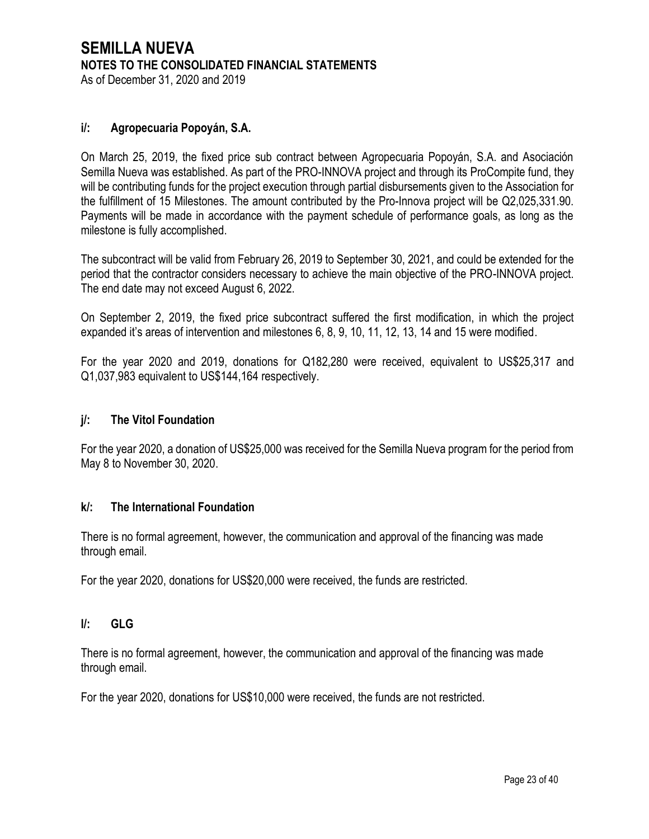# **SEMILLA NUEVA NOTES TO THE CONSOLIDATED FINANCIAL STATEMENTS** As of December 31, 2020 and 2019

## **i/: Agropecuaria Popoyán, S.A.**

On March 25, 2019, the fixed price sub contract between Agropecuaria Popoyán, S.A. and Asociación Semilla Nueva was established. As part of the PRO-INNOVA project and through its ProCompite fund, they will be contributing funds for the project execution through partial disbursements given to the Association for the fulfillment of 15 Milestones. The amount contributed by the Pro-Innova project will be Q2,025,331.90. Payments will be made in accordance with the payment schedule of performance goals, as long as the milestone is fully accomplished.

The subcontract will be valid from February 26, 2019 to September 30, 2021, and could be extended for the period that the contractor considers necessary to achieve the main objective of the PRO-INNOVA project. The end date may not exceed August 6, 2022.

On September 2, 2019, the fixed price subcontract suffered the first modification, in which the project expanded it's areas of intervention and milestones 6, 8, 9, 10, 11, 12, 13, 14 and 15 were modified.

For the year 2020 and 2019, donations for Q182,280 were received, equivalent to US\$25,317 and Q1,037,983 equivalent to US\$144,164 respectively.

## **j/: The Vitol Foundation**

For the year 2020, a donation of US\$25,000 was received for the Semilla Nueva program for the period from May 8 to November 30, 2020.

## **k/: The International Foundation**

There is no formal agreement, however, the communication and approval of the financing was made through email.

For the year 2020, donations for US\$20,000 were received, the funds are restricted.

## **l/: GLG**

There is no formal agreement, however, the communication and approval of the financing was made through email.

For the year 2020, donations for US\$10,000 were received, the funds are not restricted.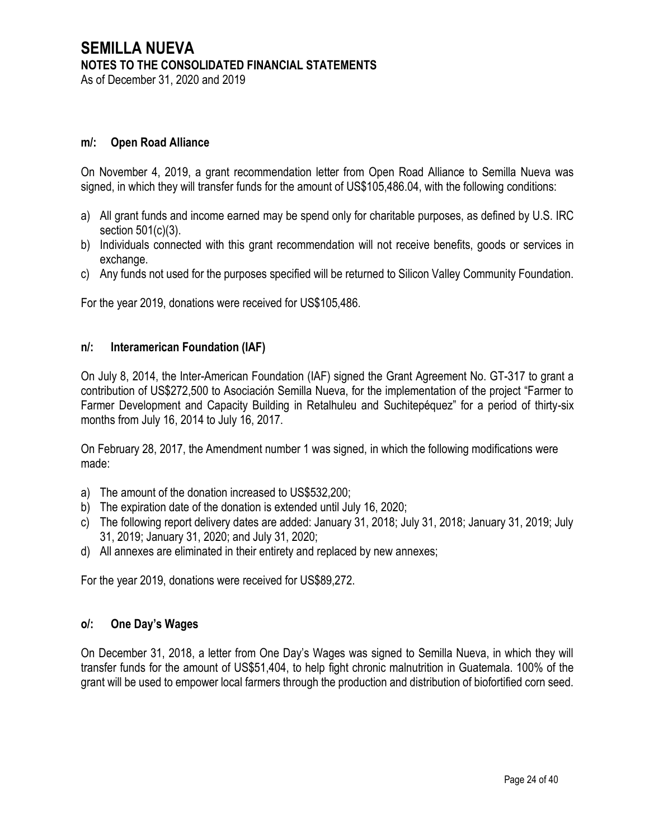As of December 31, 2020 and 2019

#### **m/: Open Road Alliance**

On November 4, 2019, a grant recommendation letter from Open Road Alliance to Semilla Nueva was signed, in which they will transfer funds for the amount of US\$105,486.04, with the following conditions:

- a) All grant funds and income earned may be spend only for charitable purposes, as defined by U.S. IRC section 501(c)(3).
- b) Individuals connected with this grant recommendation will not receive benefits, goods or services in exchange.
- c) Any funds not used for the purposes specified will be returned to Silicon Valley Community Foundation.

For the year 2019, donations were received for US\$105,486.

#### **n/: Interamerican Foundation (IAF)**

On July 8, 2014, the Inter-American Foundation (IAF) signed the Grant Agreement No. GT-317 to grant a contribution of US\$272,500 to Asociación Semilla Nueva, for the implementation of the project "Farmer to Farmer Development and Capacity Building in Retalhuleu and Suchitepéquez" for a period of thirty-six months from July 16, 2014 to July 16, 2017.

On February 28, 2017, the Amendment number 1 was signed, in which the following modifications were made:

- a) The amount of the donation increased to US\$532,200;
- b) The expiration date of the donation is extended until July 16, 2020;
- c) The following report delivery dates are added: January 31, 2018; July 31, 2018; January 31, 2019; July 31, 2019; January 31, 2020; and July 31, 2020;
- d) All annexes are eliminated in their entirety and replaced by new annexes;

For the year 2019, donations were received for US\$89,272.

#### **o/: One Day's Wages**

On December 31, 2018, a letter from One Day's Wages was signed to Semilla Nueva, in which they will transfer funds for the amount of US\$51,404, to help fight chronic malnutrition in Guatemala. 100% of the grant will be used to empower local farmers through the production and distribution of biofortified corn seed.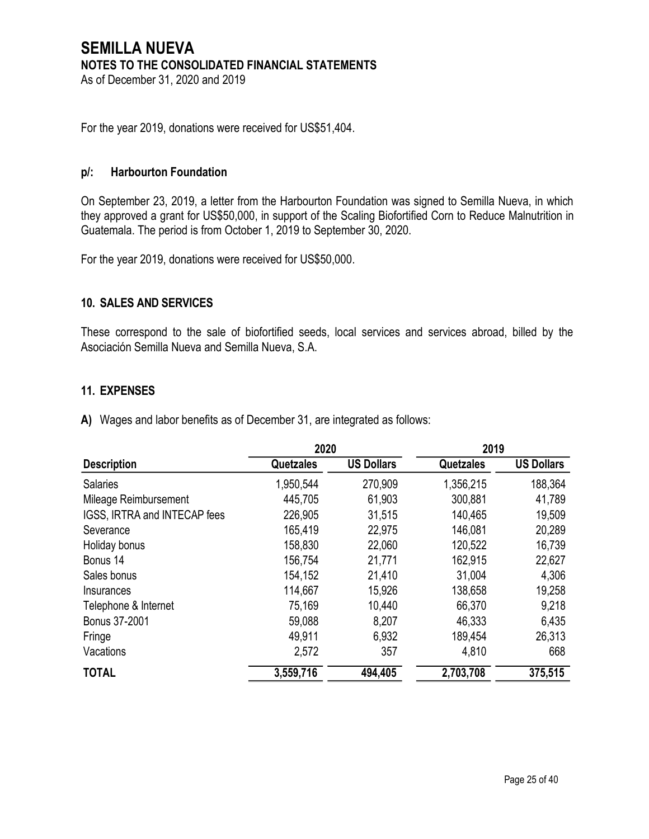# **SEMILLA NUEVA NOTES TO THE CONSOLIDATED FINANCIAL STATEMENTS** As of December 31, 2020 and 2019

For the year 2019, donations were received for US\$51,404.

#### **p/: Harbourton Foundation**

On September 23, 2019, a letter from the Harbourton Foundation was signed to Semilla Nueva, in which they approved a grant for US\$50,000, in support of the Scaling Biofortified Corn to Reduce Malnutrition in Guatemala. The period is from October 1, 2019 to September 30, 2020.

For the year 2019, donations were received for US\$50,000.

#### **10. SALES AND SERVICES**

These correspond to the sale of biofortified seeds, local services and services abroad, billed by the Asociación Semilla Nueva and Semilla Nueva, S.A.

#### **11. EXPENSES**

**A)** Wages and labor benefits as of December 31, are integrated as follows:

|                              | 2020      |                   | 2019      |                   |
|------------------------------|-----------|-------------------|-----------|-------------------|
| <b>Description</b>           | Quetzales | <b>US Dollars</b> | Quetzales | <b>US Dollars</b> |
| <b>Salaries</b>              | 1,950,544 | 270,909           | 1,356,215 | 188,364           |
| Mileage Reimbursement        | 445,705   | 61,903            | 300,881   | 41,789            |
| IGSS, IRTRA and INTECAP fees | 226,905   | 31,515            | 140,465   | 19,509            |
| Severance                    | 165,419   | 22,975            | 146,081   | 20,289            |
| Holiday bonus                | 158,830   | 22,060            | 120,522   | 16,739            |
| Bonus 14                     | 156,754   | 21,771            | 162,915   | 22,627            |
| Sales bonus                  | 154,152   | 21,410            | 31,004    | 4,306             |
| Insurances                   | 114,667   | 15,926            | 138,658   | 19,258            |
| Telephone & Internet         | 75,169    | 10,440            | 66,370    | 9,218             |
| Bonus 37-2001                | 59,088    | 8,207             | 46,333    | 6,435             |
| Fringe                       | 49,911    | 6,932             | 189,454   | 26,313            |
| Vacations                    | 2,572     | 357               | 4,810     | 668               |
| <b>TOTAL</b>                 | 3,559,716 | 494,405           | 2,703,708 | 375,515           |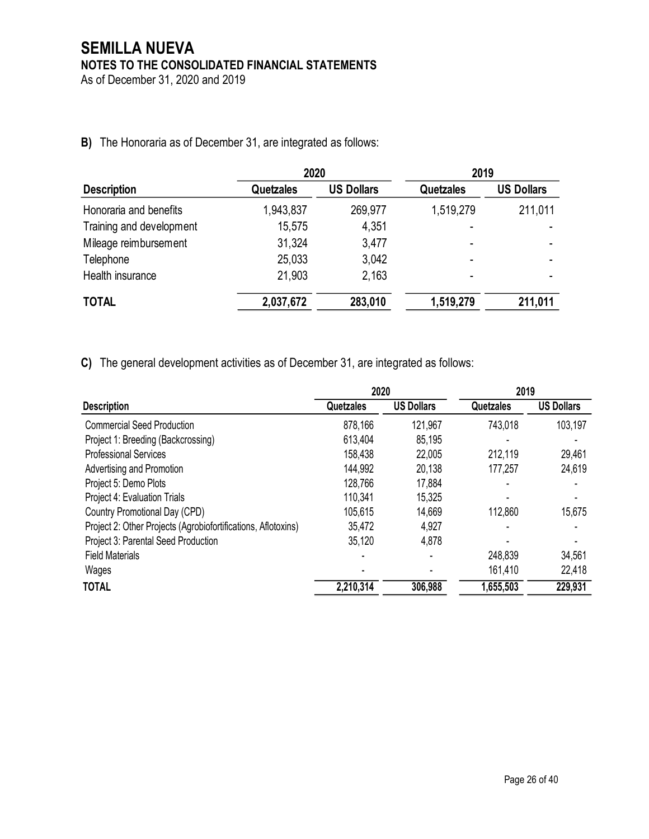As of December 31, 2020 and 2019

# **B)** The Honoraria as of December 31, are integrated as follows:

|                          | 2020             |                   | 2019                     |                          |
|--------------------------|------------------|-------------------|--------------------------|--------------------------|
| <b>Description</b>       | <b>Quetzales</b> | <b>US Dollars</b> | <b>Quetzales</b>         | <b>US Dollars</b>        |
| Honoraria and benefits   | 1,943,837        | 269,977           | 1,519,279                | 211,011                  |
| Training and development | 15,575           | 4,351             |                          |                          |
| Mileage reimbursement    | 31,324           | 3,477             |                          |                          |
| Telephone                | 25,033           | 3,042             |                          |                          |
| Health insurance         | 21,903           | 2,163             | $\overline{\phantom{0}}$ | $\overline{\phantom{a}}$ |
| <b>TOTAL</b>             | 2,037,672        | 283,010           | 1,519,279                | 211,011                  |

**C)** The general development activities as of December 31, are integrated as follows:

|           |                   | 2019      |                   |
|-----------|-------------------|-----------|-------------------|
| Quetzales | <b>US Dollars</b> | Quetzales | <b>US Dollars</b> |
| 878,166   | 121,967           | 743,018   | 103,197           |
| 613,404   | 85,195            |           |                   |
| 158,438   | 22,005            | 212,119   | 29,461            |
| 144,992   | 20,138            | 177,257   | 24,619            |
| 128,766   | 17,884            | ٠         |                   |
| 110,341   | 15,325            |           |                   |
| 105,615   | 14,669            | 112,860   | 15,675            |
| 35,472    | 4,927             |           |                   |
| 35,120    | 4,878             |           |                   |
|           |                   | 248,839   | 34,561            |
|           |                   | 161,410   | 22,418            |
| 2,210,314 | 306,988           | 1,655,503 | 229,931           |
|           |                   | 2020      |                   |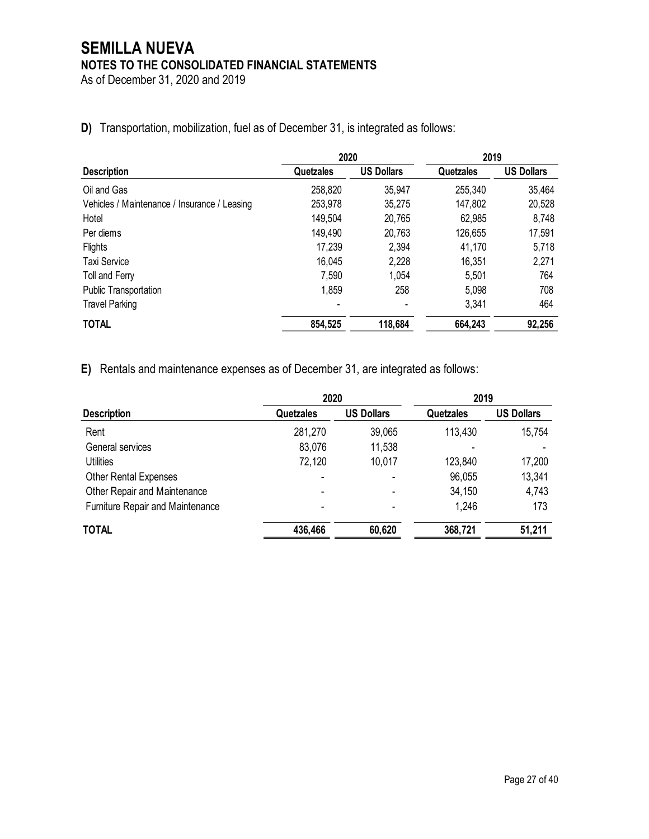As of December 31, 2020 and 2019

|                                              | 2020      |                   | 2019      |                   |
|----------------------------------------------|-----------|-------------------|-----------|-------------------|
| <b>Description</b>                           | Quetzales | <b>US Dollars</b> | Quetzales | <b>US Dollars</b> |
| Oil and Gas                                  | 258,820   | 35,947            | 255,340   | 35,464            |
| Vehicles / Maintenance / Insurance / Leasing | 253,978   | 35,275            | 147,802   | 20,528            |
| Hotel                                        | 149,504   | 20,765            | 62,985    | 8,748             |
| Per diems                                    | 149,490   | 20,763            | 126,655   | 17,591            |
| Flights                                      | 17,239    | 2,394             | 41,170    | 5,718             |
| <b>Taxi Service</b>                          | 16,045    | 2,228             | 16,351    | 2,271             |
| Toll and Ferry                               | 7,590     | 1,054             | 5,501     | 764               |
| <b>Public Transportation</b>                 | 1,859     | 258               | 5,098     | 708               |
| <b>Travel Parking</b>                        |           |                   | 3,341     | 464               |
| <b>TOTAL</b>                                 | 854,525   | 118,684           | 664,243   | 92,256            |

**D)** Transportation, mobilization, fuel as of December 31, is integrated as follows:

**E)** Rentals and maintenance expenses as of December 31, are integrated as follows:

|                                  | 2020      |                   | 2019             |                   |
|----------------------------------|-----------|-------------------|------------------|-------------------|
| <b>Description</b>               | Quetzales | <b>US Dollars</b> | <b>Quetzales</b> | <b>US Dollars</b> |
| Rent                             | 281,270   | 39,065            | 113,430          | 15,754            |
| General services                 | 83,076    | 11,538            |                  |                   |
| <b>Utilities</b>                 | 72,120    | 10,017            | 123,840          | 17,200            |
| <b>Other Rental Expenses</b>     | ٠         |                   | 96,055           | 13,341            |
| Other Repair and Maintenance     | -         | -                 | 34,150           | 4,743             |
| Furniture Repair and Maintenance | -         |                   | 1,246            | 173               |
| <b>TOTAL</b>                     | 436,466   | 60,620            | 368,721          | 51,211            |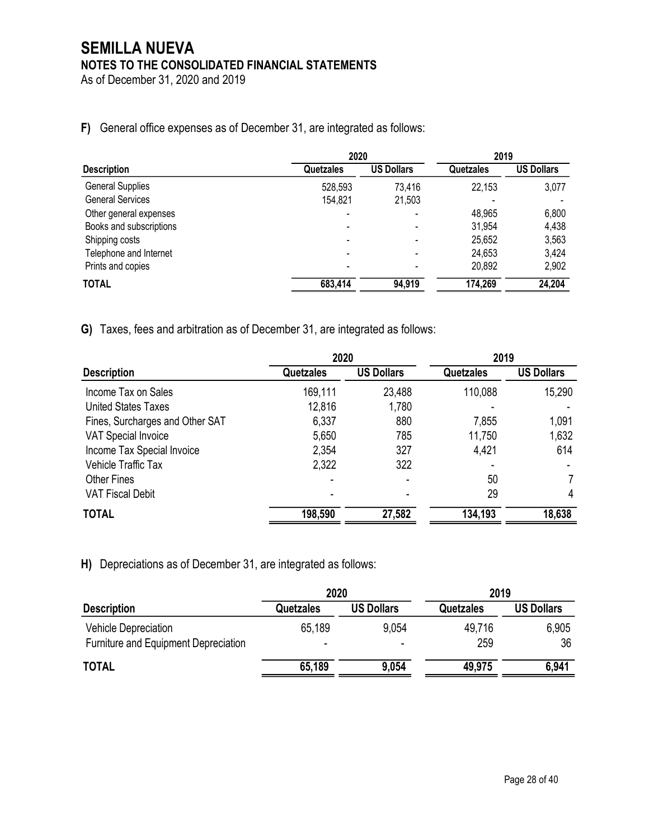As of December 31, 2020 and 2019

# **F)** General office expenses as of December 31, are integrated as follows:

|                         |           | 2020              |           | 2019              |  |
|-------------------------|-----------|-------------------|-----------|-------------------|--|
| <b>Description</b>      | Quetzales | <b>US Dollars</b> | Quetzales | <b>US Dollars</b> |  |
| <b>General Supplies</b> | 528,593   | 73,416            | 22,153    | 3,077             |  |
| <b>General Services</b> | 154,821   | 21,503            |           |                   |  |
| Other general expenses  |           |                   | 48,965    | 6,800             |  |
| Books and subscriptions |           |                   | 31,954    | 4,438             |  |
| Shipping costs          |           |                   | 25,652    | 3,563             |  |
| Telephone and Internet  |           |                   | 24,653    | 3,424             |  |
| Prints and copies       |           |                   | 20,892    | 2,902             |  |
| TOTAL                   | 683,414   | 94,919            | 174,269   | 24,204            |  |

**G)** Taxes, fees and arbitration as of December 31, are integrated as follows:

|                                 | 2020      |                   | 2019             |                   |
|---------------------------------|-----------|-------------------|------------------|-------------------|
| <b>Description</b>              | Quetzales | <b>US Dollars</b> | <b>Quetzales</b> | <b>US Dollars</b> |
| Income Tax on Sales             | 169,111   | 23,488            | 110,088          | 15,290            |
| <b>United States Taxes</b>      | 12,816    | 1,780             |                  |                   |
| Fines, Surcharges and Other SAT | 6,337     | 880               | 7,855            | 1,091             |
| <b>VAT Special Invoice</b>      | 5,650     | 785               | 11,750           | 1,632             |
| Income Tax Special Invoice      | 2,354     | 327               | 4,421            | 614               |
| Vehicle Traffic Tax             | 2,322     | 322               |                  |                   |
| <b>Other Fines</b>              |           |                   | 50               |                   |
| <b>VAT Fiscal Debit</b>         |           |                   | 29               | 4                 |
| <b>TOTAL</b>                    | 198,590   | 27,582            | 134,193          | 18,638            |

**H)** Depreciations as of December 31, are integrated as follows:

|                                                                     | 2020      |                   | 2019          |                   |
|---------------------------------------------------------------------|-----------|-------------------|---------------|-------------------|
| <b>Description</b>                                                  | Quetzales | <b>US Dollars</b> | Quetzales     | <b>US Dollars</b> |
| <b>Vehicle Depreciation</b><br>Furniture and Equipment Depreciation | 65,189    | 9.054<br>$\,$     | 49,716<br>259 | 6,905<br>36       |
| <b>TOTAL</b>                                                        | 65,189    | 9,054             | 49,975        | 6,941             |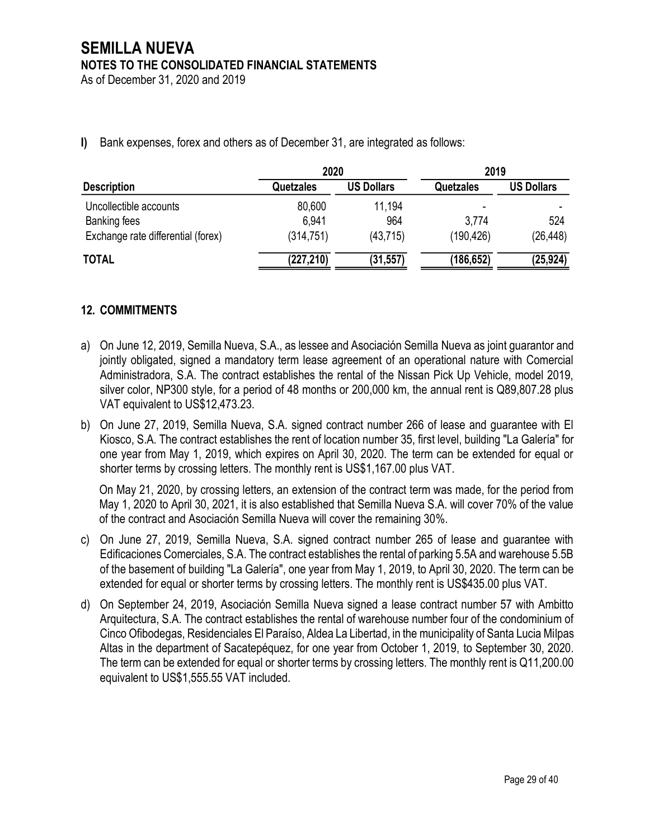As of December 31, 2020 and 2019

**I)** Bank expenses, forex and others as of December 31, are integrated as follows:

|                                    | 2020             |                   | 2019             |                   |  |
|------------------------------------|------------------|-------------------|------------------|-------------------|--|
| <b>Description</b>                 | <b>Quetzales</b> | <b>US Dollars</b> | <b>Quetzales</b> | <b>US Dollars</b> |  |
| Uncollectible accounts             | 80,600           | 11,194            | -                |                   |  |
| Banking fees                       | 6,941            | 964               | 3,774            | 524               |  |
| Exchange rate differential (forex) | (314, 751)       | (43, 715)         | (190, 426)       | (26, 448)         |  |
| <b>TOTAL</b>                       | (227, 210)       | (31, 557)         | (186,652)        | (25, 924)         |  |

# **12. COMMITMENTS**

- a) On June 12, 2019, Semilla Nueva, S.A., as lessee and Asociación Semilla Nueva as joint guarantor and jointly obligated, signed a mandatory term lease agreement of an operational nature with Comercial Administradora, S.A. The contract establishes the rental of the Nissan Pick Up Vehicle, model 2019, silver color, NP300 style, for a period of 48 months or 200,000 km, the annual rent is Q89,807.28 plus VAT equivalent to US\$12,473.23.
- b) On June 27, 2019, Semilla Nueva, S.A. signed contract number 266 of lease and guarantee with El Kiosco, S.A. The contract establishes the rent of location number 35, first level, building "La Galería" for one year from May 1, 2019, which expires on April 30, 2020. The term can be extended for equal or shorter terms by crossing letters. The monthly rent is US\$1,167.00 plus VAT.

On May 21, 2020, by crossing letters, an extension of the contract term was made, for the period from May 1, 2020 to April 30, 2021, it is also established that Semilla Nueva S.A. will cover 70% of the value of the contract and Asociación Semilla Nueva will cover the remaining 30%.

- c) On June 27, 2019, Semilla Nueva, S.A. signed contract number 265 of lease and guarantee with Edificaciones Comerciales, S.A. The contract establishes the rental of parking 5.5A and warehouse 5.5B of the basement of building "La Galería", one year from May 1, 2019, to April 30, 2020. The term can be extended for equal or shorter terms by crossing letters. The monthly rent is US\$435.00 plus VAT.
- d) On September 24, 2019, Asociación Semilla Nueva signed a lease contract number 57 with Ambitto Arquitectura, S.A. The contract establishes the rental of warehouse number four of the condominium of Cinco Ofibodegas, Residenciales El Paraíso, Aldea La Libertad, in the municipality of Santa Lucia Milpas Altas in the department of Sacatepéquez, for one year from October 1, 2019, to September 30, 2020. The term can be extended for equal or shorter terms by crossing letters. The monthly rent is Q11,200.00 equivalent to US\$1,555.55 VAT included.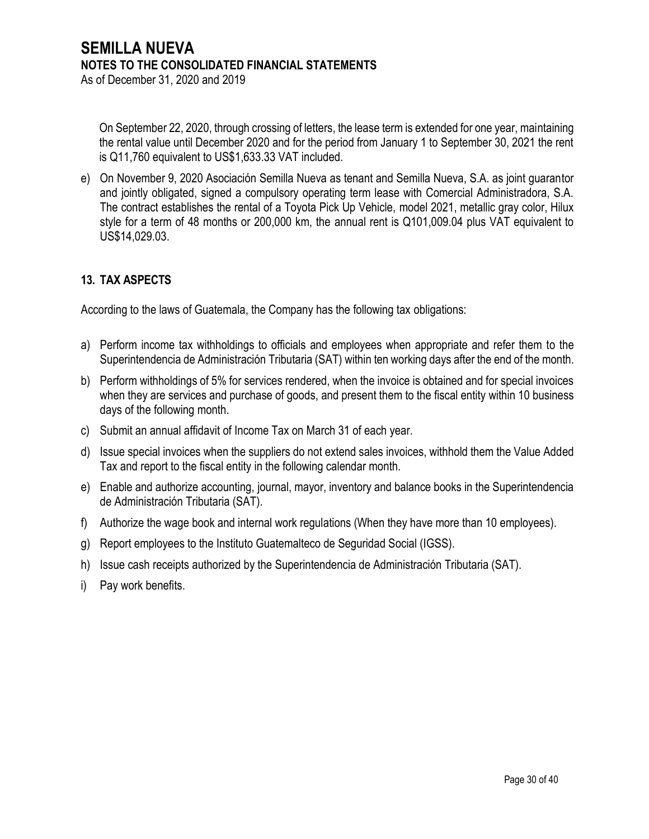On September 22, 2020, through crossing of letters, the lease term is extended for one year, maintaining the rental value until December 2020 and for the period from January 1 to September 30, 2021 the rent is Q11,760 equivalent to US\$1,633.33 VAT included.

e) On November 9, 2020 Asociación Semilla Nueva as tenant and Semilla Nueva, S.A. as joint guarantor and jointly obligated, signed a compulsory operating term lease with Comercial Administradora, S.A. The contract establishes the rental of a Toyota Pick Up Vehicle, model 2021, metallic gray color, Hilux style for a term of 48 months or 200,000 km, the annual rent is Q101,009.04 plus VAT equivalent to US\$14,029.03.

# **13. TAX ASPECTS**

According to the laws of Guatemala, the Company has the following tax obligations:

- a) Perform income tax withholdings to officials and employees when appropriate and refer them to the Superintendencia de Administración Tributaria (SAT) within ten working days after the end of the month.
- b) Perform withholdings of 5% for services rendered, when the invoice is obtained and for special invoices when they are services and purchase of goods, and present them to the fiscal entity within 10 business days of the following month.
- c) Submit an annual affidavit of Income Tax on March 31 of each year.
- d) Issue special invoices when the suppliers do not extend sales invoices, withhold them the Value Added Tax and report to the fiscal entity in the following calendar month.
- e) Enable and authorize accounting, journal, mayor, inventory and balance books in the Superintendencia de Administración Tributaria (SAT).
- f) Authorize the wage book and internal work regulations (When they have more than 10 employees).
- g) Report employees to the Instituto Guatemalteco de Seguridad Social (IGSS).
- h) Issue cash receipts authorized by the Superintendencia de Administración Tributaria (SAT).
- i) Pay work benefits.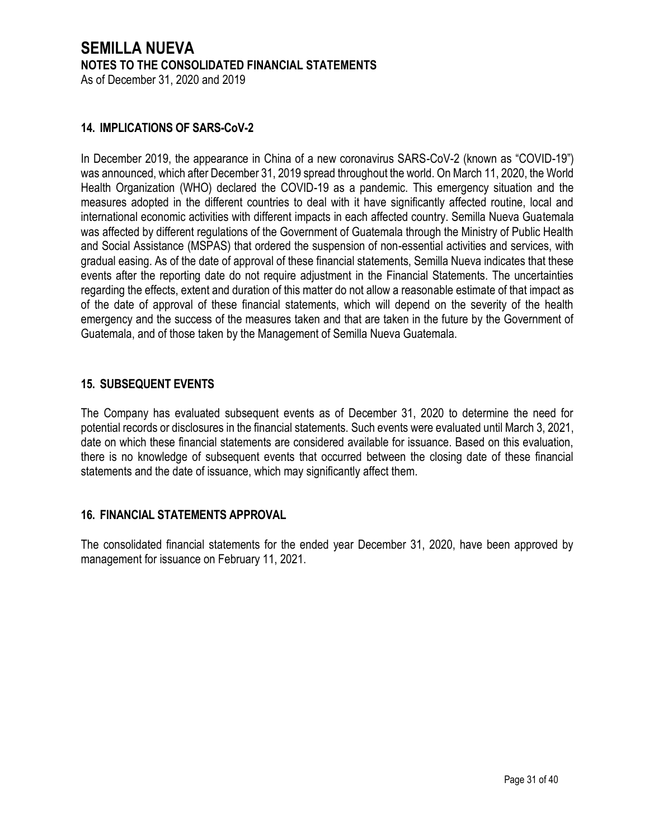# **SEMILLA NUEVA NOTES TO THE CONSOLIDATED FINANCIAL STATEMENTS** As of December 31, 2020 and 2019

## **14. IMPLICATIONS OF SARS-CoV-2**

In December 2019, the appearance in China of a new coronavirus SARS-CoV-2 (known as "COVID-19") was announced, which after December 31, 2019 spread throughout the world. On March 11, 2020, the World Health Organization (WHO) declared the COVID-19 as a pandemic. This emergency situation and the measures adopted in the different countries to deal with it have significantly affected routine, local and international economic activities with different impacts in each affected country. Semilla Nueva Guatemala was affected by different regulations of the Government of Guatemala through the Ministry of Public Health and Social Assistance (MSPAS) that ordered the suspension of non-essential activities and services, with gradual easing. As of the date of approval of these financial statements, Semilla Nueva indicates that these events after the reporting date do not require adjustment in the Financial Statements. The uncertainties regarding the effects, extent and duration of this matter do not allow a reasonable estimate of that impact as of the date of approval of these financial statements, which will depend on the severity of the health emergency and the success of the measures taken and that are taken in the future by the Government of Guatemala, and of those taken by the Management of Semilla Nueva Guatemala.

## **15. SUBSEQUENT EVENTS**

The Company has evaluated subsequent events as of December 31, 2020 to determine the need for potential records or disclosures in the financial statements. Such events were evaluated until March 3, 2021, date on which these financial statements are considered available for issuance. Based on this evaluation, there is no knowledge of subsequent events that occurred between the closing date of these financial statements and the date of issuance, which may significantly affect them.

## **16. FINANCIAL STATEMENTS APPROVAL**

The consolidated financial statements for the ended year December 31, 2020, have been approved by management for issuance on February 11, 2021.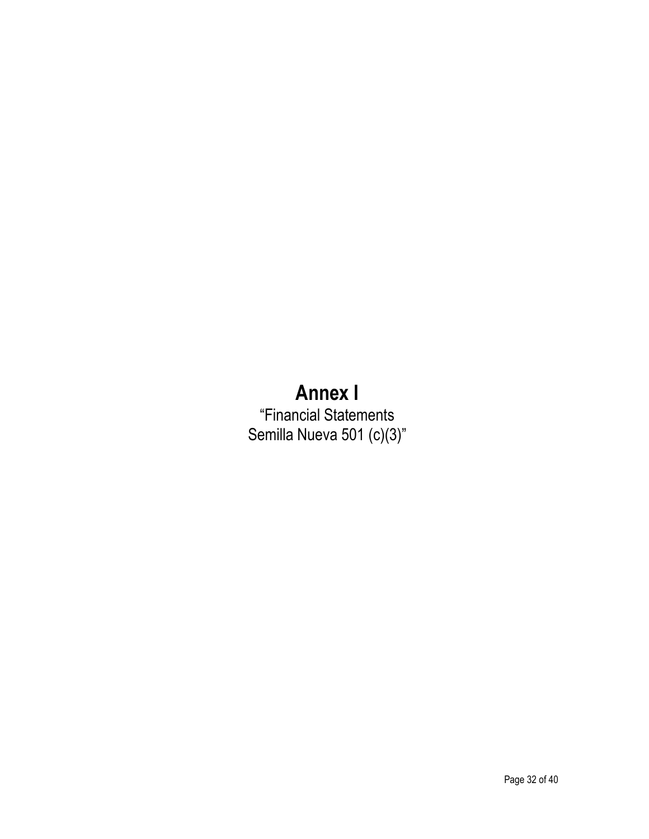# **Annex I**

"Financial Statements Semilla Nueva 501 (c)(3)"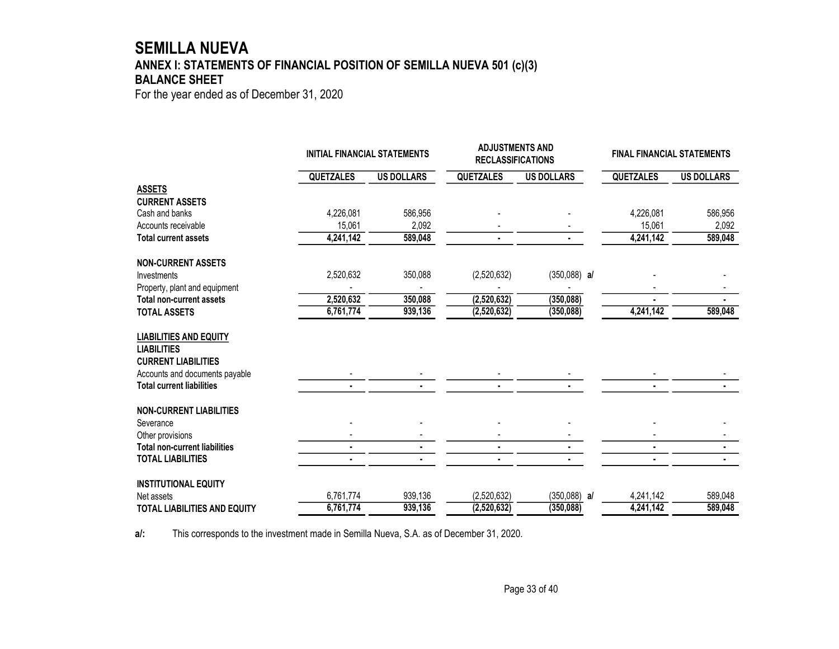# **SEMILLA NUEVA ANNEX I: STATEMENTS OF FINANCIAL POSITION OF SEMILLA NUEVA 501 (c)(3) BALANCE SHEET**

For the year ended as of December 31, 2020

|                                      | <b>INITIAL FINANCIAL STATEMENTS</b> |                   | <b>ADJUSTMENTS AND</b><br><b>RECLASSIFICATIONS</b> |                   | <b>FINAL FINANCIAL STATEMENTS</b> |                   |
|--------------------------------------|-------------------------------------|-------------------|----------------------------------------------------|-------------------|-----------------------------------|-------------------|
|                                      | <b>QUETZALES</b>                    | <b>US DOLLARS</b> | <b>QUETZALES</b>                                   | <b>US DOLLARS</b> | <b>QUETZALES</b>                  | <b>US DOLLARS</b> |
| <b>ASSETS</b>                        |                                     |                   |                                                    |                   |                                   |                   |
| <b>CURRENT ASSETS</b>                |                                     |                   |                                                    |                   |                                   |                   |
| Cash and banks                       | 4,226,081                           | 586,956           |                                                    |                   | 4,226,081                         | 586,956           |
| Accounts receivable                  | 15,061                              | 2,092             |                                                    |                   | 15,061                            | 2,092             |
| <b>Total current assets</b>          | 4,241,142                           | 589,048           |                                                    |                   | 4,241,142                         | 589,048           |
| <b>NON-CURRENT ASSETS</b>            |                                     |                   |                                                    |                   |                                   |                   |
| Investments                          | 2,520,632                           | 350,088           | (2,520,632)                                        | $(350,088)$ al    |                                   |                   |
| Property, plant and equipment        |                                     |                   |                                                    |                   |                                   |                   |
| <b>Total non-current assets</b>      | 2,520,632                           | 350,088           | (2,520,632)                                        | (350, 088)        |                                   |                   |
| <b>TOTAL ASSETS</b>                  | 6,761,774                           | 939,136           | (2,520,632)                                        | (350, 088)        | 4,241,142                         | 589,048           |
| <b>LIABILITIES AND EQUITY</b>        |                                     |                   |                                                    |                   |                                   |                   |
| <b>LIABILITIES</b>                   |                                     |                   |                                                    |                   |                                   |                   |
| <b>CURRENT LIABILITIES</b>           |                                     |                   |                                                    |                   |                                   |                   |
| Accounts and documents payable       |                                     |                   |                                                    |                   |                                   |                   |
| <b>Total current liabilities</b>     |                                     |                   |                                                    |                   |                                   |                   |
| <b>NON-CURRENT LIABILITIES</b>       |                                     |                   |                                                    |                   |                                   |                   |
| Severance                            |                                     |                   |                                                    |                   |                                   |                   |
| Other provisions                     |                                     |                   |                                                    |                   |                                   |                   |
| <b>Total non-current liabilities</b> | $\blacksquare$                      |                   |                                                    | $\blacksquare$    | $\blacksquare$                    |                   |
| <b>TOTAL LIABILITIES</b>             |                                     |                   |                                                    |                   |                                   |                   |
| <b>INSTITUTIONAL EQUITY</b>          |                                     |                   |                                                    |                   |                                   |                   |
| Net assets                           | 6,761,774                           | 939,136           | (2,520,632)                                        | $(350,088)$ a/    | 4,241,142                         | 589,048           |
| <b>TOTAL LIABILITIES AND EQUITY</b>  | 6,761,774                           | 939,136           | (2,520,632)                                        | (350, 088)        | 4,241,142                         | 589,048           |

**a/:** This corresponds to the investment made in Semilla Nueva, S.A. as of December 31, 2020.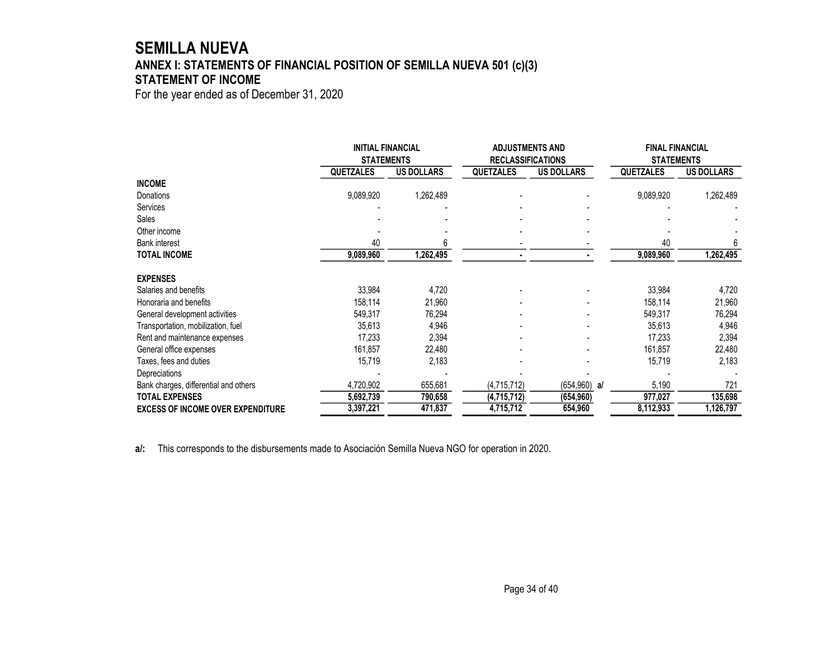# **SEMILLA NUEVA ANNEX I: STATEMENTS OF FINANCIAL POSITION OF SEMILLA NUEVA 501 (c)(3) STATEMENT OF INCOME**

For the year ended as of December 31, 2020

|                                          | <b>INITIAL FINANCIAL</b><br><b>STATEMENTS</b> |                   | <b>ADJUSTMENTS AND</b><br><b>RECLASSIFICATIONS</b> |                   | <b>FINAL FINANCIAL</b><br><b>STATEMENTS</b> |                   |
|------------------------------------------|-----------------------------------------------|-------------------|----------------------------------------------------|-------------------|---------------------------------------------|-------------------|
|                                          | <b>QUETZALES</b>                              | <b>US DOLLARS</b> | <b>QUETZALES</b>                                   | <b>US DOLLARS</b> | <b>QUETZALES</b>                            | <b>US DOLLARS</b> |
| <b>INCOME</b>                            |                                               |                   |                                                    |                   |                                             |                   |
| Donations                                | 9,089,920                                     | 1,262,489         |                                                    |                   | 9,089,920                                   | 1,262,489         |
| <b>Services</b>                          |                                               |                   |                                                    |                   |                                             |                   |
| Sales                                    |                                               |                   |                                                    |                   |                                             |                   |
| Other income                             |                                               |                   |                                                    |                   |                                             |                   |
| <b>Bank interest</b>                     | 40                                            |                   |                                                    |                   | 40                                          |                   |
| <b>TOTAL INCOME</b>                      | 9,089,960                                     | 1,262,495         |                                                    |                   | 9,089,960                                   | 1,262,495         |
| <b>EXPENSES</b>                          |                                               |                   |                                                    |                   |                                             |                   |
| Salaries and benefits                    | 33,984                                        | 4,720             |                                                    |                   | 33,984                                      | 4,720             |
| Honoraria and benefits                   | 158,114                                       | 21,960            |                                                    |                   | 158,114                                     | 21,960            |
| General development activities           | 549,317                                       | 76,294            |                                                    |                   | 549,317                                     | 76,294            |
| Transportation, mobilization, fuel       | 35,613                                        | 4,946             |                                                    |                   | 35,613                                      | 4,946             |
| Rent and maintenance expenses            | 17,233                                        | 2,394             |                                                    |                   | 17,233                                      | 2,394             |
| General office expenses                  | 161,857                                       | 22,480            |                                                    |                   | 161,857                                     | 22,480            |
| Taxes, fees and duties                   | 15,719                                        | 2,183             |                                                    |                   | 15,719                                      | 2,183             |
| Depreciations                            |                                               |                   |                                                    |                   |                                             |                   |
| Bank charges, differential and others    | 4,720,902                                     | 655,681           | (4,715,712)                                        | $(654, 960)$ a/   | 5,190                                       | 721               |
| <b>TOTAL EXPENSES</b>                    | 5,692,739                                     | 790,658           | (4,715,712)                                        | (654, 960)        | 977,027                                     | 135,698           |
| <b>EXCESS OF INCOME OVER EXPENDITURE</b> | 3,397,221                                     | 471,837           | 4,715,712                                          | 654,960           | 8,112,933                                   | 1,126,797         |

**a/:** This corresponds to the disbursements made to Asociación Semilla Nueva NGO for operation in 2020.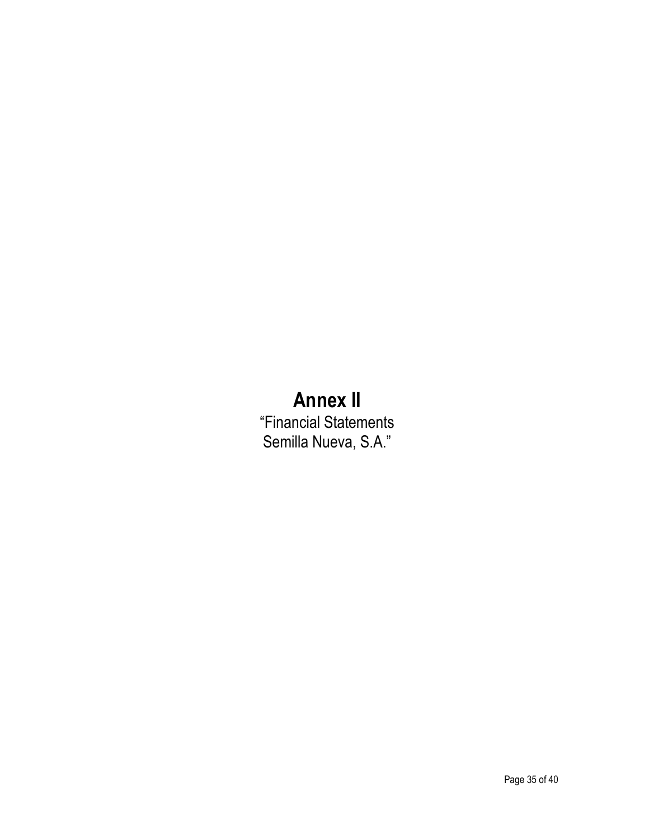# **Annex II**

"Financial Statements Semilla Nueva, S.A."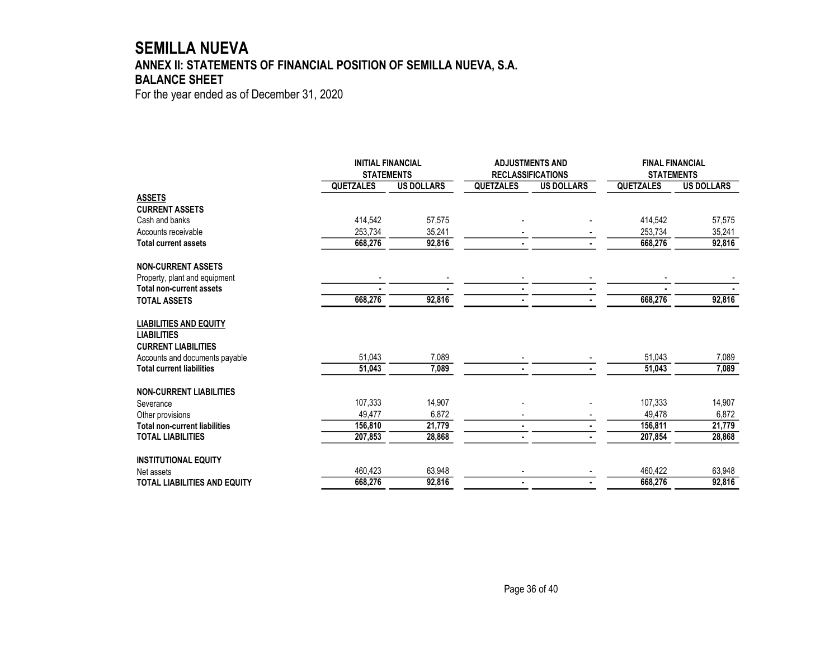# **SEMILLA NUEVA ANNEX II: STATEMENTS OF FINANCIAL POSITION OF SEMILLA NUEVA, S.A. BALANCE SHEET**

For the year ended as of December 31, 2020

|                                      | <b>INITIAL FINANCIAL</b><br><b>STATEMENTS</b> |                   | <b>ADJUSTMENTS AND</b><br><b>RECLASSIFICATIONS</b> |                   | <b>FINAL FINANCIAL</b><br><b>STATEMENTS</b> |                   |
|--------------------------------------|-----------------------------------------------|-------------------|----------------------------------------------------|-------------------|---------------------------------------------|-------------------|
|                                      | <b>QUETZALES</b>                              | <b>US DOLLARS</b> | <b>QUETZALES</b>                                   | <b>US DOLLARS</b> | <b>QUETZALES</b>                            | <b>US DOLLARS</b> |
| <b>ASSETS</b>                        |                                               |                   |                                                    |                   |                                             |                   |
| <b>CURRENT ASSETS</b>                |                                               |                   |                                                    |                   |                                             |                   |
| Cash and banks                       | 414,542                                       | 57,575            |                                                    |                   | 414,542                                     | 57,575            |
| Accounts receivable                  | 253,734                                       | 35,241            |                                                    |                   | 253,734                                     | 35,241            |
| <b>Total current assets</b>          | 668.276                                       | 92,816            |                                                    |                   | 668,276                                     | 92,816            |
| <b>NON-CURRENT ASSETS</b>            |                                               |                   |                                                    |                   |                                             |                   |
| Property, plant and equipment        |                                               |                   |                                                    |                   |                                             |                   |
| <b>Total non-current assets</b>      |                                               |                   |                                                    |                   |                                             |                   |
| <b>TOTAL ASSETS</b>                  | 668,276                                       | 92,816            |                                                    | $\blacksquare$    | 668,276                                     | 92,816            |
| <b>LIABILITIES AND EQUITY</b>        |                                               |                   |                                                    |                   |                                             |                   |
| <b>LIABILITIES</b>                   |                                               |                   |                                                    |                   |                                             |                   |
| <b>CURRENT LIABILITIES</b>           |                                               |                   |                                                    |                   |                                             |                   |
| Accounts and documents payable       | 51,043                                        | 7,089             |                                                    |                   | 51,043                                      | 7,089             |
| <b>Total current liabilities</b>     | 51,043                                        | 7,089             |                                                    |                   | 51,043                                      | 7,089             |
| <b>NON-CURRENT LIABILITIES</b>       |                                               |                   |                                                    |                   |                                             |                   |
| Severance                            | 107.333                                       | 14,907            |                                                    |                   | 107.333                                     | 14,907            |
| Other provisions                     | 49,477                                        | 6,872             |                                                    |                   | 49.478                                      | 6,872             |
| <b>Total non-current liabilities</b> | 156,810                                       | 21,779            |                                                    |                   | 156,811                                     | 21,779            |
| <b>TOTAL LIABILITIES</b>             | 207,853                                       | 28,868            |                                                    |                   | 207,854                                     | 28,868            |
| <b>INSTITUTIONAL EQUITY</b>          |                                               |                   |                                                    |                   |                                             |                   |
| Net assets                           | 460,423                                       | 63,948            |                                                    |                   | 460,422                                     | 63,948            |
| <b>TOTAL LIABILITIES AND EQUITY</b>  | 668,276                                       | 92,816            |                                                    |                   | 668,276                                     | 92,816            |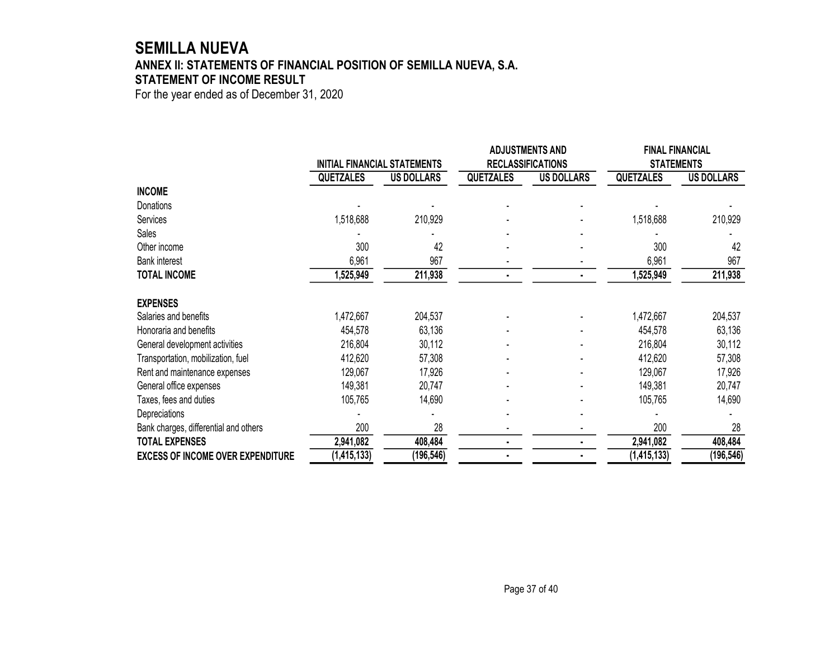# **SEMILLA NUEVA ANNEX II: STATEMENTS OF FINANCIAL POSITION OF SEMILLA NUEVA, S.A. STATEMENT OF INCOME RESULT**

For the year ended as of December 31, 2020

|                                          | INITIAL FINANCIAL STATEMENTS |                   | <b>ADJUSTMENTS AND</b> |                          | <b>FINAL FINANCIAL</b> |                   |  |
|------------------------------------------|------------------------------|-------------------|------------------------|--------------------------|------------------------|-------------------|--|
|                                          |                              |                   |                        | <b>RECLASSIFICATIONS</b> |                        | <b>STATEMENTS</b> |  |
|                                          | <b>QUETZALES</b>             | <b>US DOLLARS</b> | <b>QUETZALES</b>       | <b>US DOLLARS</b>        | <b>QUETZALES</b>       | <b>US DOLLARS</b> |  |
| <b>INCOME</b>                            |                              |                   |                        |                          |                        |                   |  |
| Donations                                |                              |                   |                        |                          |                        |                   |  |
| Services                                 | 1,518,688                    | 210,929           |                        |                          | 1,518,688              | 210,929           |  |
| Sales                                    |                              |                   |                        |                          |                        |                   |  |
| Other income                             | 300                          | 42                |                        |                          | 300                    | 42                |  |
| <b>Bank interest</b>                     | 6,961                        | 967               |                        |                          | 6,961                  | 967               |  |
| <b>TOTAL INCOME</b>                      | 1,525,949                    | 211,938           | $\blacksquare$         |                          | 1,525,949              | 211,938           |  |
| <b>EXPENSES</b>                          |                              |                   |                        |                          |                        |                   |  |
| Salaries and benefits                    | 1,472,667                    | 204,537           |                        |                          | 1,472,667              | 204,537           |  |
| Honoraria and benefits                   | 454,578                      | 63,136            |                        |                          | 454,578                | 63,136            |  |
| General development activities           | 216,804                      | 30,112            |                        |                          | 216,804                | 30,112            |  |
| Transportation, mobilization, fuel       | 412,620                      | 57,308            |                        |                          | 412,620                | 57,308            |  |
| Rent and maintenance expenses            | 129,067                      | 17,926            |                        |                          | 129,067                | 17,926            |  |
| General office expenses                  | 149,381                      | 20,747            |                        |                          | 149,381                | 20,747            |  |
| Taxes, fees and duties                   | 105,765                      | 14,690            |                        |                          | 105,765                | 14,690            |  |
| Depreciations                            |                              |                   |                        |                          |                        |                   |  |
| Bank charges, differential and others    | 200                          | 28                |                        |                          | 200                    | 28                |  |
| <b>TOTAL EXPENSES</b>                    | 2,941,082                    | 408,484           | $\blacksquare$         |                          | 2,941,082              | 408,484           |  |
| <b>EXCESS OF INCOME OVER EXPENDITURE</b> | (1, 415, 133)                | (196, 546)        |                        |                          | (1,415,133)            | (196, 546)        |  |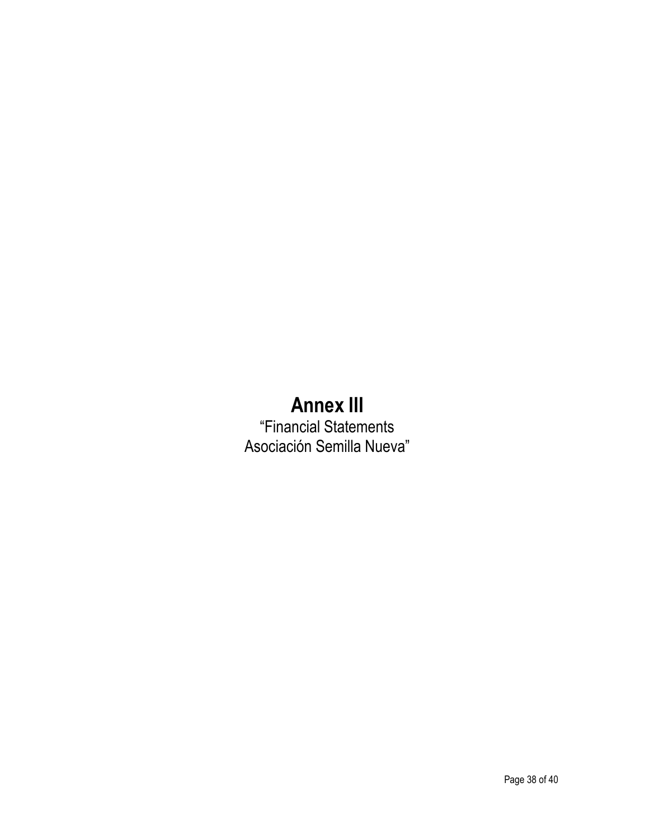# **Annex III**

"Financial Statements Asociación Semilla Nueva"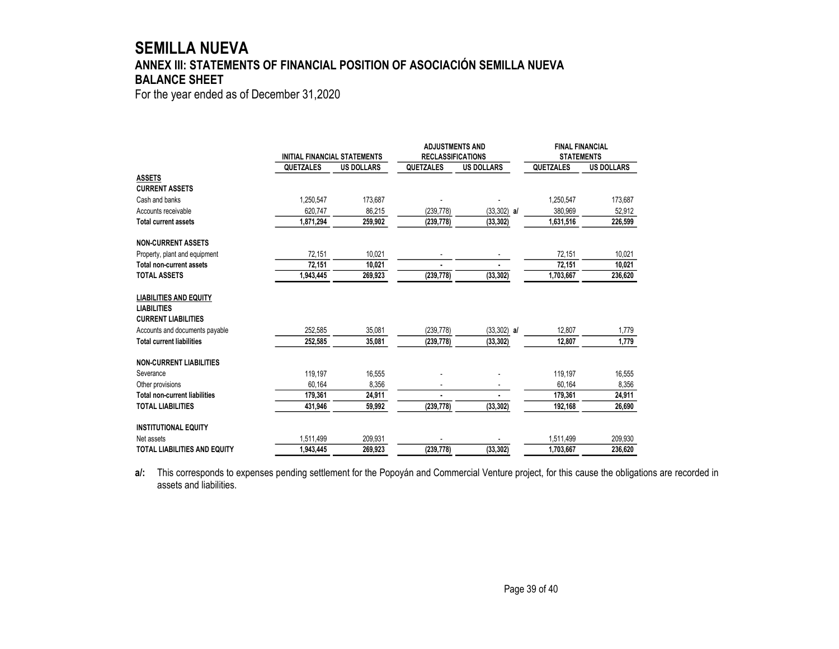# **SEMILLA NUEVA ANNEX III: STATEMENTS OF FINANCIAL POSITION OF ASOCIACIÓN SEMILLA NUEVA BALANCE SHEET**

For the year ended as of December 31,2020

|                                      |           | <b>INITIAL FINANCIAL STATEMENTS</b> |                | <b>ADJUSTMENTS AND</b>   | <b>FINAL FINANCIAL</b> |                   |
|--------------------------------------|-----------|-------------------------------------|----------------|--------------------------|------------------------|-------------------|
|                                      |           |                                     |                | <b>RECLASSIFICATIONS</b> | <b>STATEMENTS</b>      |                   |
|                                      | QUETZALES | <b>US DOLLARS</b>                   | QUETZALES      | <b>US DOLLARS</b>        | QUETZALES              | <b>US DOLLARS</b> |
| <b>ASSETS</b>                        |           |                                     |                |                          |                        |                   |
| <b>CURRENT ASSETS</b>                |           |                                     |                |                          |                        |                   |
| Cash and banks                       | 1,250,547 | 173,687                             |                |                          | 1,250,547              | 173,687           |
| Accounts receivable                  | 620.747   | 86,215                              | (239, 778)     | $(33,302)$ al            | 380,969                | 52,912            |
| <b>Total current assets</b>          | 1,871,294 | 259,902                             | (239, 778)     | (33, 302)                | 1,631,516              | 226,599           |
| <b>NON-CURRENT ASSETS</b>            |           |                                     |                |                          |                        |                   |
| Property, plant and equipment        | 72,151    | 10,021                              |                |                          | 72,151                 | 10,021            |
| Total non-current assets             | 72,151    | 10,021                              |                |                          | 72,151                 | 10,021            |
| <b>TOTAL ASSETS</b>                  | 1,943,445 | 269,923                             | (239, 778)     | (33, 302)                | 1,703,667              | 236,620           |
| <b>LIABILITIES AND EQUITY</b>        |           |                                     |                |                          |                        |                   |
| <b>LIABILITIES</b>                   |           |                                     |                |                          |                        |                   |
| <b>CURRENT LIABILITIES</b>           |           |                                     |                |                          |                        |                   |
| Accounts and documents payable       | 252,585   | 35,081                              | (239, 778)     | $(33,302)$ al            | 12,807                 | 1,779             |
| <b>Total current liabilities</b>     | 252,585   | 35,081                              | (239, 778)     | (33, 302)                | 12,807                 | 1,779             |
| <b>NON-CURRENT LIABILITIES</b>       |           |                                     |                |                          |                        |                   |
| Severance                            | 119,197   | 16,555                              |                |                          | 119,197                | 16,555            |
| Other provisions                     | 60,164    | 8,356                               |                |                          | 60,164                 | 8,356             |
| <b>Total non-current liabilities</b> | 179,361   | 24,911                              | $\blacksquare$ |                          | 179,361                | 24,911            |
| <b>TOTAL LIABILITIES</b>             | 431,946   | 59,992                              | (239, 778)     | (33, 302)                | 192,168                | 26,690            |
| <b>INSTITUTIONAL EQUITY</b>          |           |                                     |                |                          |                        |                   |
| Net assets                           | 1,511,499 | 209.931                             |                |                          | 1,511,499              | 209.930           |
| <b>TOTAL LIABILITIES AND EQUITY</b>  | 1,943,445 | 269,923                             | (239, 778)     | (33, 302)                | 1,703,667              | 236,620           |

**a/:** This corresponds to expenses pending settlement for the Popoyán and Commercial Venture project, for this cause the obligations are recorded in assets and liabilities.